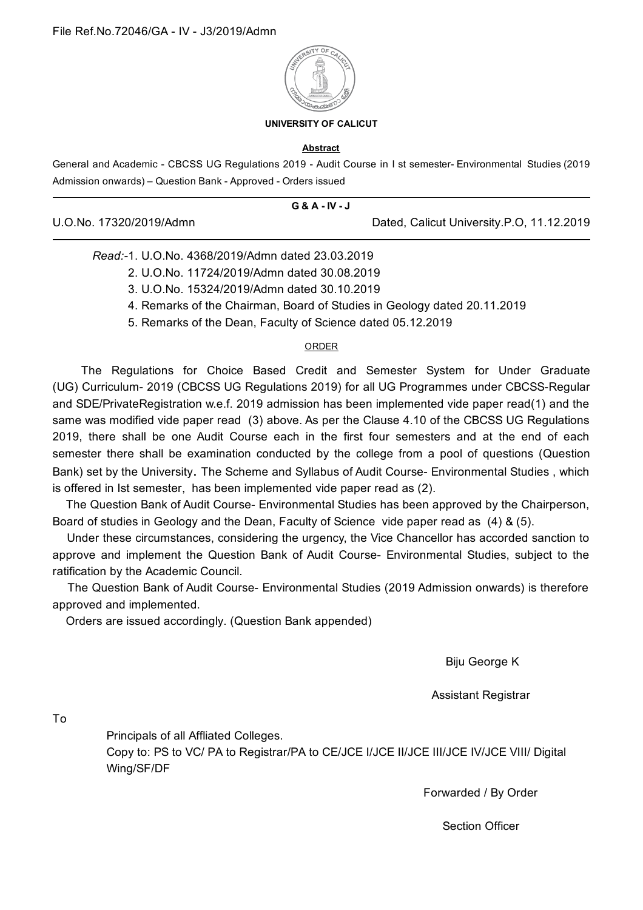

## **UNIVERSITY OF CALICUT**

## **Abstract**

General and Academic - CBCSS UG Regulations 2019 - Audit Course in I st semester- Environmental Studies (2019 Admission onwards) – Question Bank - Approved - Orders issued

|                         | G & A - IV - J |                                           |
|-------------------------|----------------|-------------------------------------------|
| U.O.No. 17320/2019/Admn |                | Dated, Calicut University.P.O, 11.12.2019 |

## *Read:-*1. U.O.No. 4368/2019/Admn dated 23.03.2019

- 2. U.O.No. 11724/2019/Admn dated 30.08.2019
- 3. U.O.No. 15324/2019/Admn dated 30.10.2019
- 4. Remarks of the Chairman, Board of Studies in Geology dated 20.11.2019
- 5. Remarks of the Dean, Faculty of Science dated 05.12.2019

## ORDER

The Regulations for Choice Based Credit and Semester System for Under Graduate (UG) Curriculum- 2019 (CBCSS UG Regulations 2019) for all UG Programmes under CBCSS-Regular and SDE/PrivateRegistration w.e.f. 2019 admission has been implemented vide paper read(1) and the same was modified vide paper read (3) above. As per the Clause 4.10 of the CBCSS UG Regulations 2019, there shall be one Audit Course each in the first four semesters and at the end of each semester there shall be examination conducted by the college from a pool of questions (Question Bank) set by the University. The Scheme and Syllabus of Audit Course- Environmental Studies , which is offered in Ist semester, has been implemented vide paper read as (2).

The Question Bank of Audit Course- Environmental Studies has been approved by the Chairperson, Board of studies in Geology and the Dean, Faculty of Science vide paper read as (4) & (5).

Under these circumstances, considering the urgency, the Vice Chancellor has accorded sanction to approve and implement the Question Bank of Audit Course- Environmental Studies, subject to the ratification by the Academic Council.

The Question Bank of Audit Course- Environmental Studies (2019 Admission onwards) is therefore approved and implemented.

Orders are issued accordingly. (Question Bank appended)

Biju George K

Assistant Registrar

To

Principals of all Affliated Colleges.

Copy to: PS to VC/ PA to Registrar/PA to CE/JCE I/JCE II/JCE III/JCE IV/JCE VIII/ Digital Wing/SF/DF

Forwarded / By Order

Section Officer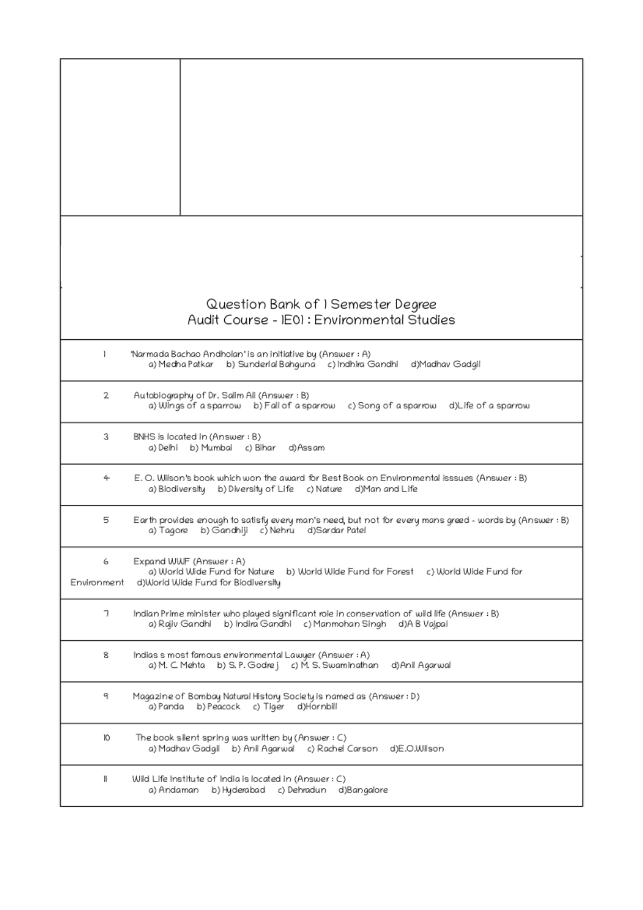|                  | Question Bank of 1 Semester Degree<br>Audit Course - IE01 : Environmental Studies                                                                              |
|------------------|----------------------------------------------------------------------------------------------------------------------------------------------------------------|
| 1                | 'Narmada Bachao Andholan' is an initiative by (Answer : A)<br>a) Medha Patkar b) Sunderlal Bahguna c) Indhira Gandhi<br>d)Madhav Gadgil                        |
| 2                | Autobiography of Dr. Salim Ali (Answer : B)<br>a) Wings of a sparrow b) Fall of a sparrow c) Song of a sparrow d)Life of a sparrow                             |
| 3                | BNHS is located in (Answer : B)<br>a)Delhi b)Mumbai c)Bihar d)Assam                                                                                            |
| 4                | E.O. Wilson's book which won the award for Best Book on Environmental isssues (Answer: B)<br>a) Biodiversity b) Diversity of Life c) Nature d)Man and Life     |
| 5                | Earth provides enough to satisfy every man's need, but not for every mans greed - words by (Answer : B)<br>b) Gandhiji c) Nehru d) Sardar Patel<br>a) Tagore   |
| 6<br>Environment | Expand WWF (Answer: A)<br>a) World Wide Fund for Nature<br>b) World Wide Fund for Forest c) World Wide Fund for<br>d)World Wide Fund for Biodiversity          |
| 7                | Indian Prime minister who played significant role in conservation of wild life (Answer : B)<br>a) Rajiv Gandhi b) Indira Gandhi c) Manmohan Singh d)A B Vajpai |
| 8                | Indias s most famous environmental Lawyer (Answer : A)<br>a) M. C. Mehta    b) S. P. Godre j    c) M. S. Swaminathan<br>d)Anil Agarwal                         |
| 9                | Magazine of Bombay Natural History Society is named as (Answer : D)<br>a)Panda b)Peacock c)Tiger d)Hornbill                                                    |
| 10               | The book silent spring was written by (Answer : C)<br>a) Madhav Gadgil b) Anil Agarwal c) Rachel Carson d)E.O.Wilson                                           |
| 11               | Wild Life Institute of India is located in (Answer: C)<br>b) Hyderabad c) Dehradun d)Bangalore<br>a) Andaman                                                   |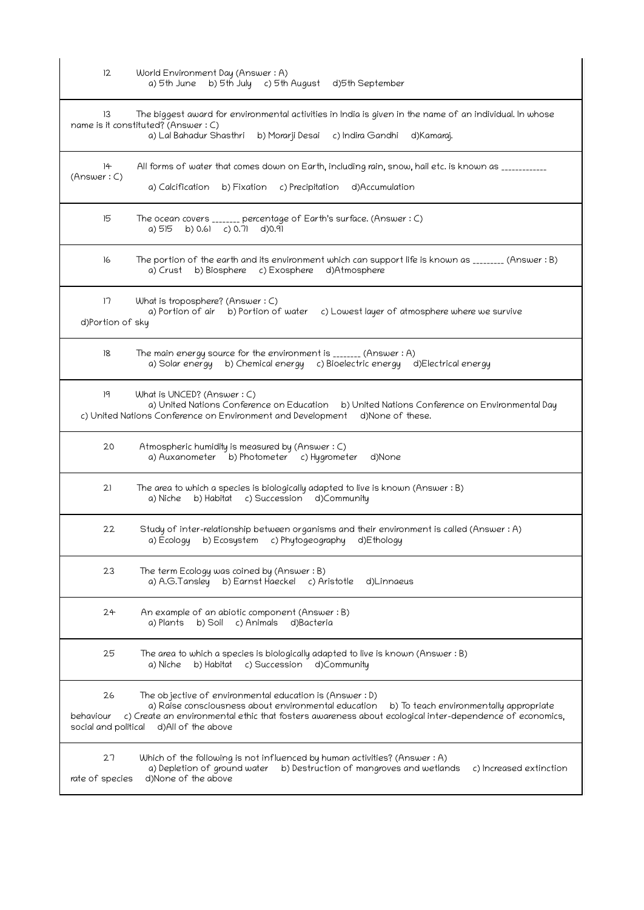| 12                                      | World Environment Day (Answer: A)<br>a) 5th June b) 5th July c) 5th August d) 5th September                                                                                                                                                                                                  |
|-----------------------------------------|----------------------------------------------------------------------------------------------------------------------------------------------------------------------------------------------------------------------------------------------------------------------------------------------|
| 13                                      | The biggest award for environmental activities in India is given in the name of an individual. In whose<br>name is it constituted? (Answer: C)<br>a) Lal Bahadur Shasthri b) Morarji Desai c) Indira Gandhi d) Kamaraj.                                                                      |
| $+$<br>(Answer: C)                      | All forms of water that comes down on Earth, including rain, snow, hail etc. is known as ___________<br>a) Calcification b) Fixation c) Precipitation d) Accumulation                                                                                                                        |
| 15                                      | The ocean covers _______ percentage of Earth's surface. (Answer : C)<br>a) $515$ b) 0.61 c) 0.71 d) 0.91                                                                                                                                                                                     |
| 16                                      | The portion of the earth and its environment which can support life is known as ________ (Answer: B)<br>a) Crust b) Biosphere c) Exosphere d) Atmosphere                                                                                                                                     |
| 17<br>d)Portion of sky                  | What is troposphere? (Answer : C)<br>a) Portion of air b) Portion of water c) Lowest layer of atmosphere where we survive                                                                                                                                                                    |
| 18                                      | The main energy source for the environment is ________ (Answer: A)<br>a) Solar energy b) Chemical energy c) Bioelectric energy d) Electrical energy                                                                                                                                          |
| 19                                      | What is UNCED? (Answer: C)<br>a) United Nations Conference on Education b) United Nations Conference on Environmental Day<br>c) United Nations Conference on Environment and Development d)None of these.                                                                                    |
| 20                                      | Atmospheric humidity is measured by (Answer: C)<br>a) Auxanometer b) Photometer c) Hygrometer<br>d)None                                                                                                                                                                                      |
| 21                                      | The area to which a species is biologically adapted to live is known (Answer: B)<br>a) Niche b) Habitat c) Succession d) Community                                                                                                                                                           |
| 22                                      | Study of inter-relationship between organisms and their environment is called (Answer : A)<br>b) Ecosystem<br>c) Phytogeography<br>a) Ecology<br>d)Ethology                                                                                                                                  |
| 23                                      | The term Ecology was coined by (Answer: B)<br>b) Earnst Haeckel c) Aristotle<br>a) A.G.Tansley<br>d)Linnaeus                                                                                                                                                                                 |
| 24                                      | An example of an abiotic component (Answer: B)<br>a) Plants b) Soil c) Animals<br>d)Bacteria                                                                                                                                                                                                 |
| 25                                      | The area to which a species is biologically adapted to live is known (Answer : B)<br>b) Habitat c) Succession<br>d)Community<br>a) Niche                                                                                                                                                     |
| 26<br>behaviour<br>social and political | The objective of environmental education is (Answer : D)<br>a) Raise consciousness about environmental education<br>b) To teach environmentally appropriate<br>c) Create an environmental ethic that fosters awareness about ecological inter-dependence of economics,<br>d)All of the above |
| 27                                      | Which of the following is not influenced by human activities? (Answer : A)                                                                                                                                                                                                                   |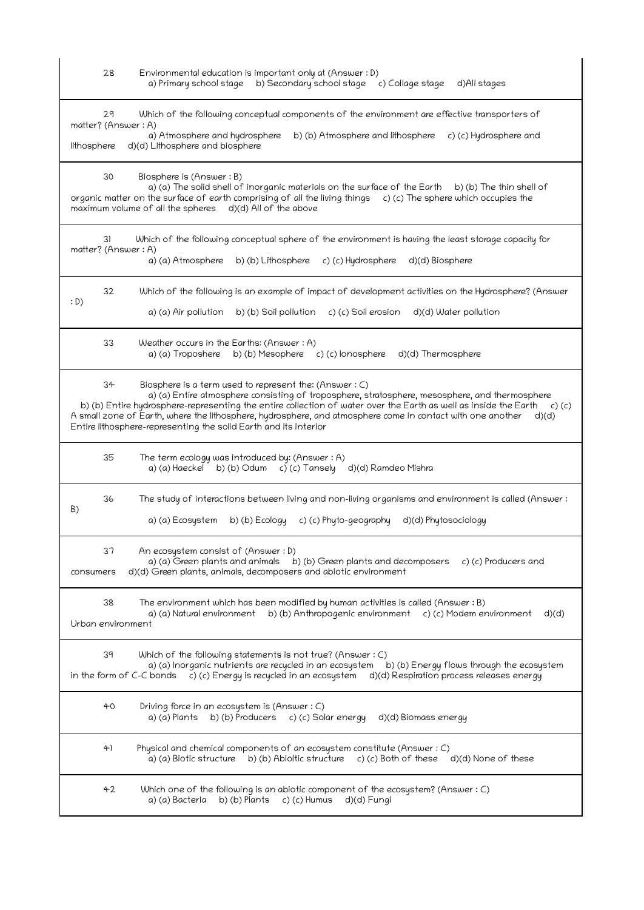| 28<br>Environmental education is important only at (Answer : D)<br>a) Primary school stage b) Secondary school stage c) Collage stage<br>d)All stages                                                                                                                                                                                                                                                                                                                                 |
|---------------------------------------------------------------------------------------------------------------------------------------------------------------------------------------------------------------------------------------------------------------------------------------------------------------------------------------------------------------------------------------------------------------------------------------------------------------------------------------|
| 29<br>Which of the following conceptual components of the environment are effective transporters of<br>matter? (Answer: A)<br>a) Atmosphere and hydrosphere<br>b) (b) Atmosphere and lithosphere<br>c) (c) Hydrosphere and<br>d)(d) Lithosphere and biosphere<br>lithosphere                                                                                                                                                                                                          |
| 30<br>Biosphere is (Answer: B)<br>a) (a) The solid shell of inorganic materials on the surface of the Earth b) (b) The thin shell of<br>organic matter on the surface of earth comprising of all the living things $c$ ) (c) The sphere which occupies the<br>maximum volume of all the spheres d)(d) All of the above                                                                                                                                                                |
| Which of the following conceptual sphere of the environment is having the least storage capacity for<br>31<br>matter? (Answer: A)<br>a) (a) Atmosphere<br>b) (b) Lithosphere<br>c) (c) Hydrosphere<br>d)(d) Biosphere                                                                                                                                                                                                                                                                 |
| 32<br>Which of the following is an example of impact of development activities on the Hydrosphere? (Answer<br>: D)<br>a) (a) Air pollution<br>b) (b) Soil pollution c) (c) Soil erosion d)(d) Water pollution                                                                                                                                                                                                                                                                         |
| 33<br>Weather occurs in the Earths: (Answer: A)<br>a) (a) Troposhere b) (b) Mesophere c) (c) lonosphere d) (d) Thermosphere                                                                                                                                                                                                                                                                                                                                                           |
| 34<br>Biosphere is a term used to represent the: (Answer : C)<br>a) (a) Entire atmosphere consisting of troposphere, stratosphere, mesosphere, and thermosphere<br>b) (b) Entire hydrosphere-representing the entire collection of water over the Earth as well as inside the Earth c) (c)<br>A small zone of Earth, where the lithosphere, hydrosphere, and atmosphere come in contact with one another<br>d)(d)<br>Entire lithosphere-representing the solid Earth and its interior |
| 35<br>The term ecology was introduced by: (Answer : A)<br>a) (a) Haeckel b) (b) Odum c) (c) Tansely d) (d) Ramdeo Mishra                                                                                                                                                                                                                                                                                                                                                              |
| 36<br>The study of interactions between living and non-living organisms and environment is called (Answer:<br>B)<br>b) (b) Ecology c) (c) Phyto-geography d)(d) Phytosociology<br>a) (a) Ecosystem                                                                                                                                                                                                                                                                                    |
| 37<br>An ecosystem consist of (Answer : D)<br>a) (a) Green plants and animals<br>b) (b) Green plants and decomposers<br>c) (c) Producers and<br>d)(d) Green plants, animals, decomposers and abiotic environment<br>consumers                                                                                                                                                                                                                                                         |
| 38<br>The environment which has been modified by human activities is called (Answer : B)<br>b) (b) Anthropogenic environment<br>a) (a) Natural environment<br>c) (c) Modem environment<br>d)(d)<br>Urban environment                                                                                                                                                                                                                                                                  |
| 39<br>Which of the following statements is not true? (Answer $: C$ )<br>a) (a) Inorganic nutrients are recycled in an ecosystem<br>b) (b) Energy flows through the ecosystem<br>c) (c) Energy is recycled in an ecosystem<br>in the form of C-C bonds<br>d)(d) Respiration process releases energy                                                                                                                                                                                    |
| 40<br>Driving force in an ecosystem is (Answer : C)<br>b) (b) Producers c) (c) Solar energy<br>a) (a) Plants<br>d)(d) Biomass energy                                                                                                                                                                                                                                                                                                                                                  |
| Physical and chemical components of an ecosystem constitute (Answer: C)<br>41<br>b) (b) Abioltic structure $c$ ) (c) Both of these<br>a) (a) Biotic structure<br>d)(d) None of these                                                                                                                                                                                                                                                                                                  |
| 42<br>Which one of the following is an abiotic component of the ecosystem? (Answer : C)<br>b) (b) Plants<br>$c)$ (c) Humus<br>d)(d) Fungi<br>a) (a) Bacteria                                                                                                                                                                                                                                                                                                                          |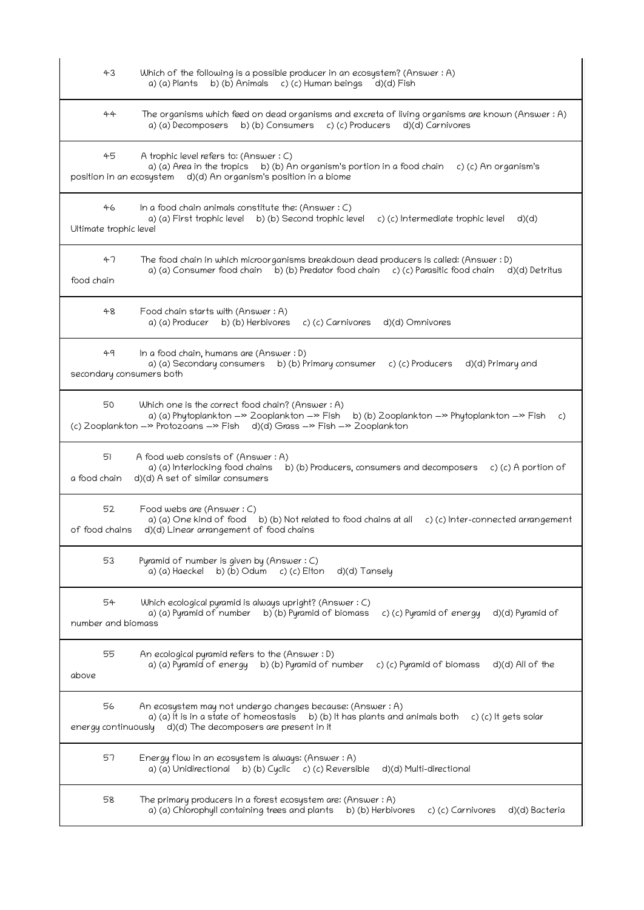| 43                             | Which of the following is a possible producer in an ecosystem? (Answer : A)<br>b) (b) Animals c) (c) Human beings d)(d) Fish<br>a) (a) Plants                                                                                                        |
|--------------------------------|------------------------------------------------------------------------------------------------------------------------------------------------------------------------------------------------------------------------------------------------------|
| 44                             | The organisms which feed on dead organisms and excreta of living organisms are known (Answer: A)<br>a) (a) Decomposers b) (b) Consumers c) (c) Producers d) (d) Carnivores                                                                           |
| 45<br>position in an ecosystem | A trophic level refers to: (Answer: C)<br>a) (a) Area in the tropics b) (b) An organism's portion in a food chain<br>c) (c) An organism's<br>d)(d) An organism's position in a biome                                                                 |
| 46<br>Ultimate trophic level   | In a food chain animals constitute the: (Answer $: C$ )<br>a) (a) First trophic level b) (b) Second trophic level<br>c) (c) Intermediate trophic level<br>d)(d)                                                                                      |
| 47<br>food chain               | The food chain in which microorganisms breakdown dead producers is called: (Answer : D)<br>a) (a) Consumer food chain b) (b) Predator food chain c) (c) Parasitic food chain<br>d)(d) Detritus                                                       |
| 48                             | Food chain starts with (Answer : A)<br>a) (a) Producer b) (b) Herbivores<br>c) (c) Carnivores<br>d)(d) Omnivores                                                                                                                                     |
| 49<br>secondary consumers both | In a food chain, humans are (Answer: D)<br>a) (a) Secondary consumers b) (b) Primary consumer<br>c) (c) Producers<br>d)(d) Primary and                                                                                                               |
| 50                             | Which one is the correct food chain? (Answer: A)<br>a) (a) Phytoplankton ->> Zooplankton ->> Fish<br>b) (b) Zooplankton $-\infty$ Phytoplankton $-\infty$ Fish<br>C)<br>(c) Zooplankton ->> Protozoans ->> Fish d)(d) Grass ->> Fish ->> Zooplankton |
| 51<br>a food chain             | A food web consists of (Answer: A)<br>a) (a) Interlocking food chains<br>b) (b) Producers, consumers and decomposers c) (c) A portion of<br>d)(d) A set of similar consumers                                                                         |
| 52<br>of food chains           | Food webs are (Answer: C)<br>a) (a) One kind of food<br>b) (b) Not related to food chains at all<br>c) (c) Inter-connected arrangement<br>d)(d) Linear arrangement of food chains                                                                    |
| 53                             | Pyramid of number is given by (Answer: C)<br>b) (b) Odum<br>a) (a) Haeckel<br>$c)$ (c) Elton<br>d)(d) Tansely                                                                                                                                        |
| 54<br>number and biomass       | Which ecological pyramid is always upright? (Answer : C)<br>a) (a) Pyramid of number<br>b) (b) Pyramid of biomass<br>c) (c) Pyramid of energy<br>d)(d) Pyramid of                                                                                    |
| 55<br>above                    | An ecological pyramid refers to the (Answer: D)<br>b) (b) Pyramid of number<br>a) (a) Pyramid of energy<br>c) (c) Pyramid of biomass<br>d)(d) All of the                                                                                             |
| 56<br>energy continuously      | An ecosystem may not undergo changes because: (Answer : A)<br>a) (a) It is in a state of homeostasis b) (b) It has plants and animals both c) (c) It gets solar<br>d)(d) The decomposers are present in it                                           |
| 57                             | Energy flow in an ecosystem is always: (Answer: A)<br>a) (a) Unidirectional b) (b) Cyclic<br>c) (c) Reversible<br>d)(d) Multi-directional                                                                                                            |
| 58                             | The primary producers in a forest ecosystem are: (Answer: A)<br>a) (a) Chlorophyll containing trees and plants<br>b) (b) Herbivores<br>c) (c) Carnivores<br>d)(d) Bacteria                                                                           |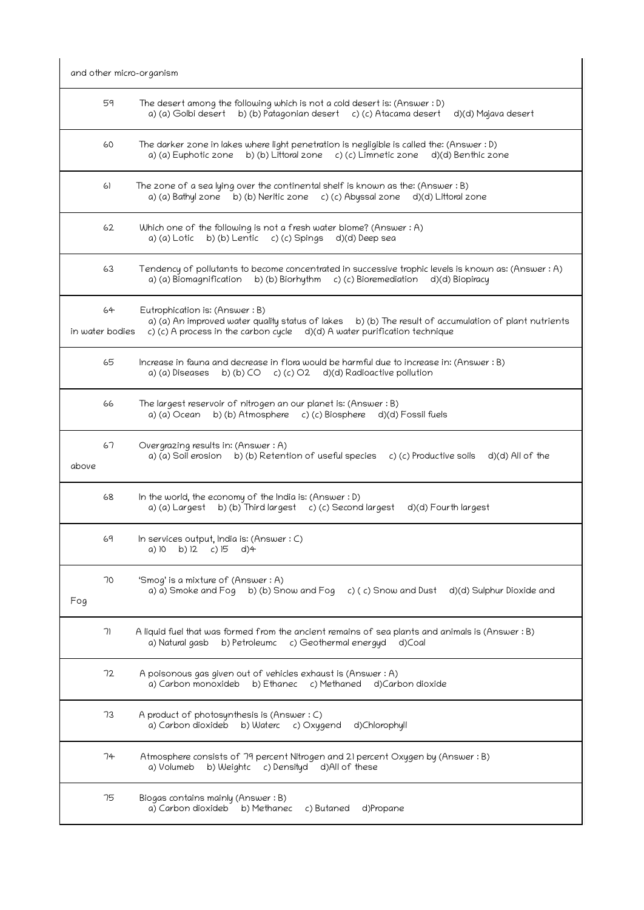| 59                                                                                                                                                                                                                                                  |
|-----------------------------------------------------------------------------------------------------------------------------------------------------------------------------------------------------------------------------------------------------|
| The desert among the following which is not a cold desert is: (Answer : D)<br>a) (a) Golbi desert b) (b) Patagonian desert c) (c) Atacama desert<br>d)(d) Majava desert                                                                             |
| 60<br>The darker zone in lakes where light penetration is negligible is called the: (Answer : D)<br>b) (b) Littoral zone c) (c) Limnetic zone d)(d) Benthic zone<br>a) (a) Euphotic zone                                                            |
| The zone of a sea lying over the continental shelf is known as the: (Answer $: B)$<br>a) (a) Bathyl zone b) (b) Neritic zone c) (c) Abyssal zone<br>d)(d) Littoral zone                                                                             |
| 62<br>Which one of the following is not a fresh water biome? (Answer : A)<br>b) (b) Lentic c) (c) Spings d)(d) Deep sea<br>a) (a) Lotic                                                                                                             |
| 63<br>Tendency of pollutants to become concentrated in successive trophic levels is known as: (Answer : A)<br>c) (c) Bioremediation<br>a) (a) Biomagnification<br>b) (b) Biorhythm<br>d)(d) Biopiracy                                               |
| 64<br>Eutrophication is: (Answer: B)<br>a) (a) An improved water quality status of lakes<br>b) (b) The result of accumulation of plant nutrients<br>c) (c) A process in the carbon cycle $d$ )(d) A water purification technique<br>in water bodies |
| 65<br>Increase in fauna and decrease in flora would be harmful due to increase in: (Answer: B)<br>b) (b) CO c) (c) O2 d)(d) Radioactive pollution<br>a) (a) Diseases                                                                                |
| 66<br>The largest reservoir of nitrogen an our planet is: (Answer : B)<br>b) (b) Atmosphere c) (c) Biosphere d)(d) Fossil fuels<br>a) (a) Ocean                                                                                                     |
| 67<br>Overgrazing results in: (Answer: A)<br>b) (b) Retention of useful species c) (c) Productive soils<br>a) (a) Soil erosion<br>d)(d) All of the                                                                                                  |
| 68<br>In the world, the economy of the India is: (Answer : D)<br>b) (b) Third largest c) (c) Second largest<br>a) (a) Largest<br>d)(d) Fourth largest                                                                                               |
| 69<br>In services output, India is: (Answer : C)<br>b) 12<br>$c)$ 15<br>$d$ )4<br>a) 10                                                                                                                                                             |
| 70<br>'Smog' is a mixture of (Answer: A)<br>b) (b) Snow and Fog c) (c) Snow and Dust d)(d) Sulphur Dioxide and<br>a) a) Smoke and Fog                                                                                                               |
| A liquid fuel that was formed from the ancient remains of sea plants and animals is (Answer : B)<br>a) Natural gasb<br>b) Petroleumc c) Geothermal energyd<br>d)Coal                                                                                |
| 72<br>A poisonous gas given out of vehicles exhaust is (Answer : A)<br>a) Carbon monoxideb<br>c) Methaned<br>b) Ethanec<br>d)Carbon dioxide                                                                                                         |
| 73<br>A product of photosynthesis is (Answer : C)<br>a) Carbon dioxideb<br>b) Waterc c) Oxygend<br>d)Chlorophyll                                                                                                                                    |
| 74<br>Atmosphere consists of 79 percent Nitrogen and 21 percent Oxygen by (Answer: B)<br>a) Volumeb<br>b) Weightc<br>c) Densityd d)All of these                                                                                                     |
| 61<br>71                                                                                                                                                                                                                                            |

 75 Biogas contains mainly (Answer : B) a) Carbon dioxideb b) Methanec c) Butaned d)Propane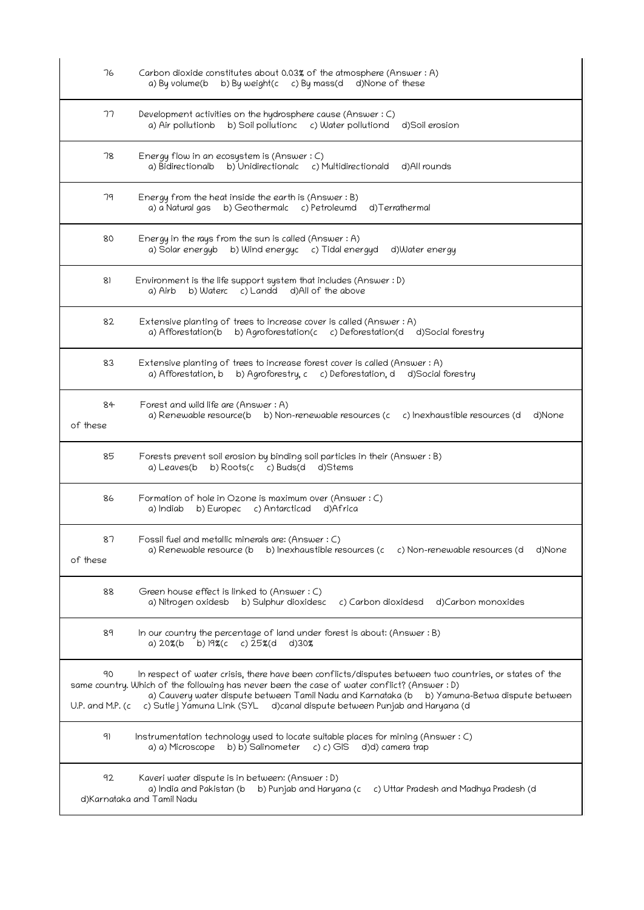| 76                     | Carbon dioxide constitutes about 0.03% of the atmosphere (Answer: A)<br>b) By weight(c c) By mass(d d)None of these<br>a) By volume(b                                                                                                                                                                                                                                              |
|------------------------|------------------------------------------------------------------------------------------------------------------------------------------------------------------------------------------------------------------------------------------------------------------------------------------------------------------------------------------------------------------------------------|
| 77                     | Development activities on the hydrosphere cause (Answer: C)<br>a) Air pollutionb b) Soil pollutionc c) Water pollutiond<br>d)Soil erosion                                                                                                                                                                                                                                          |
| 78                     | Energy flow in an ecosystem is (Answer $: C$ )<br>a) Bidirectionalb<br>b) Unidirectionalc c) Multidirectionald<br>d)All rounds                                                                                                                                                                                                                                                     |
| 79                     | Energy from the heat inside the earth is (Answer: B)<br>a) a Natural gas<br>b) Geothermalc c) Petroleumd<br>d)Terrathermal                                                                                                                                                                                                                                                         |
| 80                     | Energy in the rays from the sun is called (Answer $:A$ )<br>a) Solar energyb b) Wind energyc c) Tidal energyd<br>d)Water energy                                                                                                                                                                                                                                                    |
| 81                     | Environment is the life support system that includes (Answer : D)<br>b) Waterc c) Landd d) All of the above<br>a) Airb                                                                                                                                                                                                                                                             |
| 82                     | Extensive planting of trees to increase cover is called (Answer: A)<br>a) Afforestation(b b) Agroforestation(c c) Deforestation(d d) Social forestry                                                                                                                                                                                                                               |
| 83                     | Extensive planting of trees to increase forest cover is called (Answer : A)<br>b) Agroforestry, c c) Deforestation, d<br>a) Afforestation, b<br>d)Social forestry                                                                                                                                                                                                                  |
| 84<br>of these         | Forest and wild life are (Answer : A)<br>a) Renewable resource(b b) Non-renewable resources (c<br>c) Inexhaustible resources (d<br>d)None                                                                                                                                                                                                                                          |
| 85                     | Forests prevent soil erosion by binding soil particles in their (Answer : B)<br>a) Leaves(b<br>b) Roots(c c) Buds(d d)Stems                                                                                                                                                                                                                                                        |
| 86                     | Formation of hole in Ozone is maximum over (Answer: C)<br>b) Europec c) Antarcticad<br>a) Indiab<br>d)Africa                                                                                                                                                                                                                                                                       |
| 87<br>of these         | Fossil fuel and metallic minerals are: (Answer : C)<br>a) Renewable resource (b b) Inexhaustible resources (c<br>c) Non-renewable resources (d<br>d)None                                                                                                                                                                                                                           |
| 88                     | Green house effect is linked to (Answer : C)<br>a) Nitrogen oxidesb<br>b) Sulphur dioxidesc<br>c) Carbon dioxidesd<br>d)Carbon monoxides                                                                                                                                                                                                                                           |
| 89                     | In our country the percentage of land under forest is about: (Answer : B)<br>b) $19\%$ (c c) $25\%$ (d<br>a) 20%(b<br>d)30%                                                                                                                                                                                                                                                        |
| 90<br>U.P. and M.P. (c | In respect of water crisis, there have been conflicts/disputes between two countries, or states of the<br>same country. Which of the following has never been the case of water conflict? (Answer : D)<br>a) Cauvery water dispute between Tamil Nadu and Karnataka (b b) Yamuna-Betwa dispute between<br>c) Sutlej Yamuna Link (SYL d)canal dispute between Punjab and Haryana (d |
| 91                     | Instrumentation technology used to locate suitable places for mining (Answer : C)<br>b) b) Salinometer<br>a) a) Microscope<br>c) c) GIS d)d) camera trap                                                                                                                                                                                                                           |
| 92                     | Kaveri water dispute is in between: (Answer : D)<br>a) India and Pakistan (b b) Punjab and Haryana (c<br>c) Uttar Pradesh and Madhya Pradesh (d<br>d)Karnataka and Tamil Nadu                                                                                                                                                                                                      |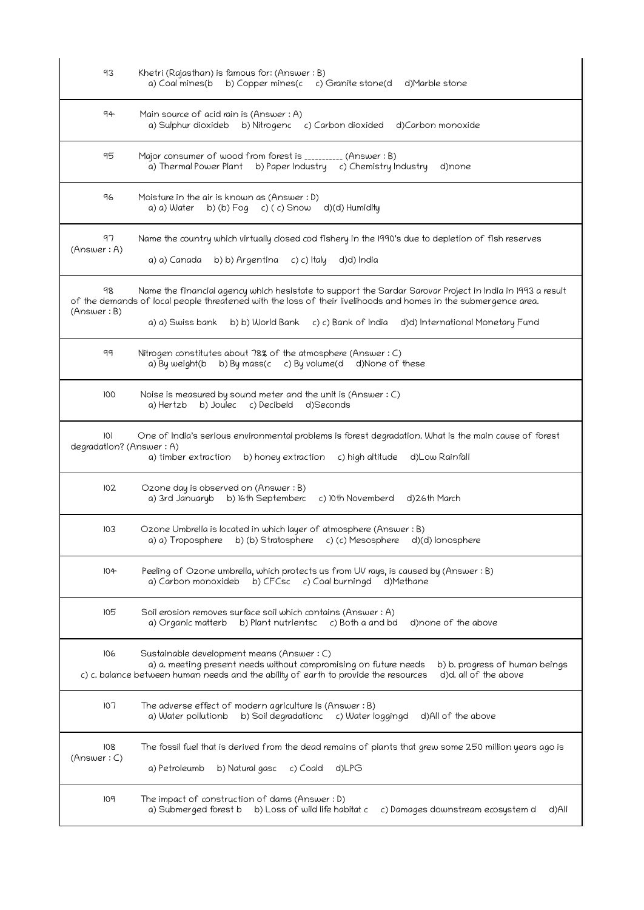| 93                              | Khetri (Rajasthan) is famous for: (Answer: B)<br>a) Coal mines(b<br>b) Copper mines(c c) Granite stone(d d)Marble stone                                                                                                                                                                                                   |
|---------------------------------|---------------------------------------------------------------------------------------------------------------------------------------------------------------------------------------------------------------------------------------------------------------------------------------------------------------------------|
| 94                              | Main source of acid rain is (Answer : A)<br>a) Sulphur dioxideb b) Nitrogenc c) Carbon dioxided d) Carbon monoxide                                                                                                                                                                                                        |
| 95                              | Major consumer of wood from forest is __________ (Answer : B)<br>a) Thermal Power Plant b) Paper Industry c) Chemistry Industry<br>d)none                                                                                                                                                                                 |
| 96                              | Moisture in the air is known as (Answer : D)<br>a) a) Water<br>b) (b) $Fog$ c) (c) $Snow$ d)(d) Humidity                                                                                                                                                                                                                  |
| 97<br>(Answer: A)               | Name the country which virtually closed cod fishery in the 1990's due to depletion of fish reserves<br>a) a) Canada<br>b) b) Argentina<br>c) c) Italy<br>d)d) India                                                                                                                                                       |
| 98<br>(Answer: B)               | Name the financial agency which hesistate to support the Sardar Sarovar Project in India in 1993 a result<br>of the demands of local people threatened with the loss of their livelihoods and homes in the submergence area.<br>b) b) World Bank c) c) Bank of India d)d) International Monetary Fund<br>a) a) Swiss bank |
| 99                              | Nitrogen constitutes about 78% of the atmosphere (Answer: C)<br>b) By mass(c c) By volume(d d) None of these<br>a) By weight(b                                                                                                                                                                                            |
| 100                             | Noise is measured by sound meter and the unit is (Answer : C)<br>b) Joulec c) Decibeld d) Seconds<br>a) Hertzb                                                                                                                                                                                                            |
| 101<br>degradation? (Answer: A) | One of India's serious environmental problems is forest degradation. What is the main cause of forest<br>a) timber extraction<br>b) honey extraction c) high altitude d) Low Rainfall                                                                                                                                     |
| 102                             | Ozone day is observed on (Answer: B)<br>b) 16th Septemberc<br>c) 10th Novemberd<br>a) 3rd Januaryb<br>d)26th March                                                                                                                                                                                                        |
| 103                             | Ozone Umbrella is located in which layer of atmosphere (Answer: B)<br>a) a) Troposphere b) (b) Stratosphere c) (c) Mesosphere d)(d) lonosphere                                                                                                                                                                            |
| 104                             | Peeling of Ozone umbrella, which protects us from UV rays, is caused by (Answer: B)<br>a) Carbon monoxideb<br>b) CFCsc c) Coal burningd d) Methane                                                                                                                                                                        |
| 105                             | Soil erosion removes surface soil which contains (Answer: A)<br>b) Plant nutrientsc c) Both a and bd<br>d)none of the above<br>a) Organic matterb                                                                                                                                                                         |
| 106                             | Sustainable development means (Answer: C)<br>a) a. meeting present needs without compromising on future needs<br>b) b. progress of human beings<br>d)d. all of the above<br>c) c. balance between human needs and the ability of earth to provide the resources                                                           |
| 107                             | The adverse effect of modern agriculture is (Answer: B)<br>b) Soil degradationc c) Water loggingd<br>d)All of the above<br>a) Water pollutionb                                                                                                                                                                            |
| 108<br>(Answer: C)              | The fossil fuel that is derived from the dead remains of plants that grew some 250 million years ago is<br>b) Natural gasc<br>a) Petroleumb<br>c) Coald<br>d)LPG                                                                                                                                                          |
| 109                             | The impact of construction of dams (Answer : D)<br>b) Loss of wild life habitat c<br>d)All<br>a) Submerged forest b<br>c) Damages downstream ecosystem d                                                                                                                                                                  |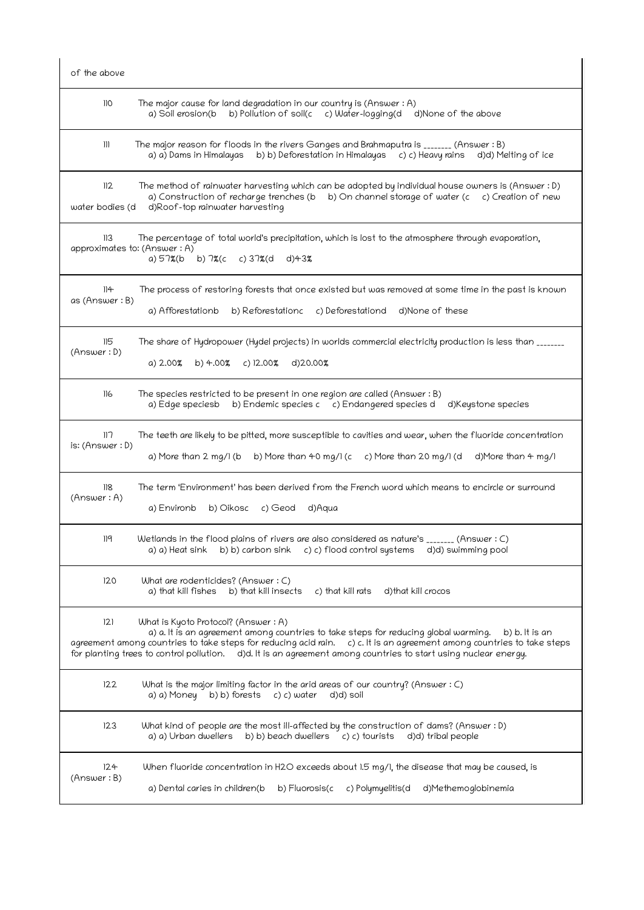| of the above                        |                                                                                                                                                                                                                                                                                                                                                                                            |
|-------------------------------------|--------------------------------------------------------------------------------------------------------------------------------------------------------------------------------------------------------------------------------------------------------------------------------------------------------------------------------------------------------------------------------------------|
| 110                                 | The major cause for land degradation in our country is (Answer : $A$ )<br>b) Pollution of soil(c c) Water-logging(d<br>d)None of the above<br>a) Soil erosion(b                                                                                                                                                                                                                            |
| 111                                 | The major reason for floods in the rivers Ganges and Brahmaputra is _______ (Answer: B)<br>b) b) Deforestation in Himalayas c) c) Heavy rains d)d) Melting of ice<br>a) a) Dams in Himalayas                                                                                                                                                                                               |
| 112<br>water bodies (d              | The method of rainwater harvesting which can be adopted by individual house owners is (Answer : D)<br>a) Construction of recharge trenches (b b) On channel storage of water (c c) Creation of new<br>d)Roof-top rainwater harvesting                                                                                                                                                      |
| 113<br>approximates to: (Answer: A) | The percentage of total world's precipitation, which is lost to the atmosphere through evaporation,<br>b) 7%(c c) 37%(d d)43%<br>a) 57%(b                                                                                                                                                                                                                                                  |
| 114<br>as (Answer: B)               | The process of restoring forests that once existed but was removed at some time in the past is known<br>a) Afforestationb<br>b) Reforestationc<br>c) Deforestationd<br>d)None of these                                                                                                                                                                                                     |
| 115<br>(Answer: D)                  | The share of Hydropower (Hydel projects) in worlds commercial electricity production is less than _______<br>a) 2.00%<br>b) $4.00\%$ c) $12.00\%$<br>d)20.00%                                                                                                                                                                                                                              |
| 116                                 | The species restricted to be present in one region are called (Answer : B)<br>a) Edge speciesb<br>b) Endemic species c c) Endangered species d d) Keystone species                                                                                                                                                                                                                         |
| 117<br>is: (Answer: D)              | The teeth are likely to be pitted, more susceptible to cavities and wear, when the fluoride concentration<br>b) More than 40 mg/l (c c) More than 20 mg/l (d d) More than $4 \text{ mg/l}$<br>a) More than 2 mg/1 (b                                                                                                                                                                       |
| 118<br>(Answer: A)                  | The term 'Environment' has been derived from the French word which means to encircle or surround<br>a) Environb<br>b) Oikosc c) Geod<br>d)Aqua                                                                                                                                                                                                                                             |
| 119                                 | Wetlands in the flood plains of rivers are also considered as nature's _______ (Answer: C)<br>b) b) carbon sink c) c) flood control systems d)d) swimming pool<br>a) a) Heat sink                                                                                                                                                                                                          |
| 120                                 | What are rodenticides? (Answer: C)<br>a) that kill fishes b) that kill insects<br>c) that kill rats<br>d)that kill crocos                                                                                                                                                                                                                                                                  |
| 121                                 | What is Kyoto Protocol? (Answer : A)<br>a) a. It is an agreement among countries to take steps for reducing global warming.<br>b) b. It is an<br>agreement among countries to take steps for reducing acid rain. c) c. It is an agreement among countries to take steps<br>for planting trees to control pollution. d)d. It is an agreement among countries to start using nuclear energy. |
| 122                                 | What is the major limiting factor in the arid areas of our country? (Answer $:C$ )<br>a) a) Money b) b) forests c) c) water<br>d)d) soil                                                                                                                                                                                                                                                   |
| 123                                 | What kind of people are the most ill-affected by the construction of dams? (Answer : D)<br>a) a) Urban dwellers b) b) beach dwellers c) c) tourists<br>d)d) tribal people                                                                                                                                                                                                                  |
| 124<br>(Answer:B)                   | When fluoride concentration in H2O exceeds about 1.5 mg/1, the disease that may be caused, is<br>b) Fluorosis(c c) Polymyelitis(d<br>a) Dental caries in children(b<br>d)Methemoglobinemia                                                                                                                                                                                                 |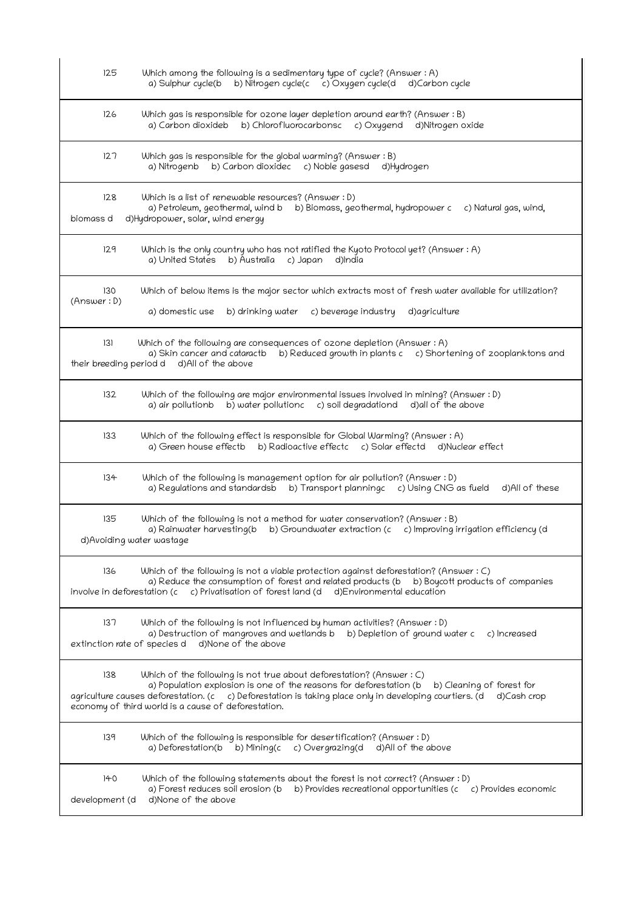| 125                            | Which among the following is a sedimentary type of cycle? (Answer: A)<br>b) Nitrogen cycle(c c) Oxygen cycle(d<br>a) Sulphur cycle(b<br>d)Carbon cycle                                                                                                                                                                                                     |
|--------------------------------|------------------------------------------------------------------------------------------------------------------------------------------------------------------------------------------------------------------------------------------------------------------------------------------------------------------------------------------------------------|
| 126                            | Which gas is responsible for ozone layer depletion around earth? (Answer : B)<br>a) Carbon dioxideb b) Chlorofluorocarbonsc c) Oxygend d)Nitrogen oxide                                                                                                                                                                                                    |
| 127                            | Which gas is responsible for the global warming? (Answer : B)<br>b) Carbon dioxidec c) Noble gasesd<br>a) Nitrogenb<br>d)Hydrogen                                                                                                                                                                                                                          |
| 128<br>biomass d               | Which is a list of renewable resources? (Answer : D)<br>a) Petroleum, geothermal, wind b<br>b) Biomass, geothermal, hydropower c<br>c) Natural gas, wind,<br>d)Hydropower, solar, wind energy                                                                                                                                                              |
| 129                            | Which is the only country who has not ratified the Kyoto Protocol yet? (Answer : A)<br>a) United States<br>b) Australia<br>c) Japan<br>d)India                                                                                                                                                                                                             |
| 130<br>(Answer: D)             | Which of below items is the major sector which extracts most of fresh water available for utilization?<br>a) domestic use<br>b) drinking water<br>c) beverage industry<br>d)agriculture                                                                                                                                                                    |
| 131<br>their breeding period d | Which of the following are consequences of ozone depletion (Answer: A)<br>a) Skin cancer and cataractb b) Reduced growth in plants c c) Shortening of zooplanktons and<br>d)All of the above                                                                                                                                                               |
| 132                            | Which of the following are major environmental issues involved in mining? (Answer: D)<br>a) air pollutionb b) water pollutionc c) soil degradationd d) all of the above                                                                                                                                                                                    |
| 133                            | Which of the following effect is responsible for Global Warming? (Answer: A)<br>a) Green house effectb b) Radioactive effectc c) Solar effectd d) Nuclear effect                                                                                                                                                                                           |
| 134                            | Which of the following is management option for air pollution? (Answer : D)<br>a) Regulations and standardsb b) Transport planningc c) Using CNG as fueld<br>d)All of these                                                                                                                                                                                |
| 135                            | Which of the following is not a method for water conservation? (Answer : B)<br>a) Rainwater harvesting(b b) Groundwater extraction (c c) Improving irrigation efficiency (d<br>d)Avoiding water wastage                                                                                                                                                    |
| 136                            | Which of the following is not a viable protection against deforestation? (Answer : C)<br>a) Reduce the consumption of forest and related products (b<br>b) Boycott products of companies<br>c) Privatisation of forest land (d d) Environmental education<br>involve in deforestation (c                                                                   |
| 137                            | Which of the following is not influenced by human activities? (Answer : D)<br>a) Destruction of mangroves and wetlands b b) Depletion of ground water c<br>c) Increased<br>d)None of the above<br>extinction rate of species d                                                                                                                             |
| 138                            | Which of the following is not true about deforestation? (Answer $: C$ )<br>a) Population explosion is one of the reasons for deforestation (b<br>b) Cleaning of forest for<br>agriculture causes deforestation. (c c) Deforestation is taking place only in developing courtiers. (d<br>d)Cash crop<br>economy of third world is a cause of deforestation. |
| 139                            | Which of the following is responsible for desertification? (Answer : D)<br>b) Mining(c c) Overgrazing(d<br>a) Deforestation(b<br>d)All of the above                                                                                                                                                                                                        |
| 140<br>development (d          | Which of the following statements about the forest is not correct? (Answer : D)<br>a) Forest reduces soil erosion (b b) Provides recreational opportunities (c c) Provides economic<br>d)None of the above                                                                                                                                                 |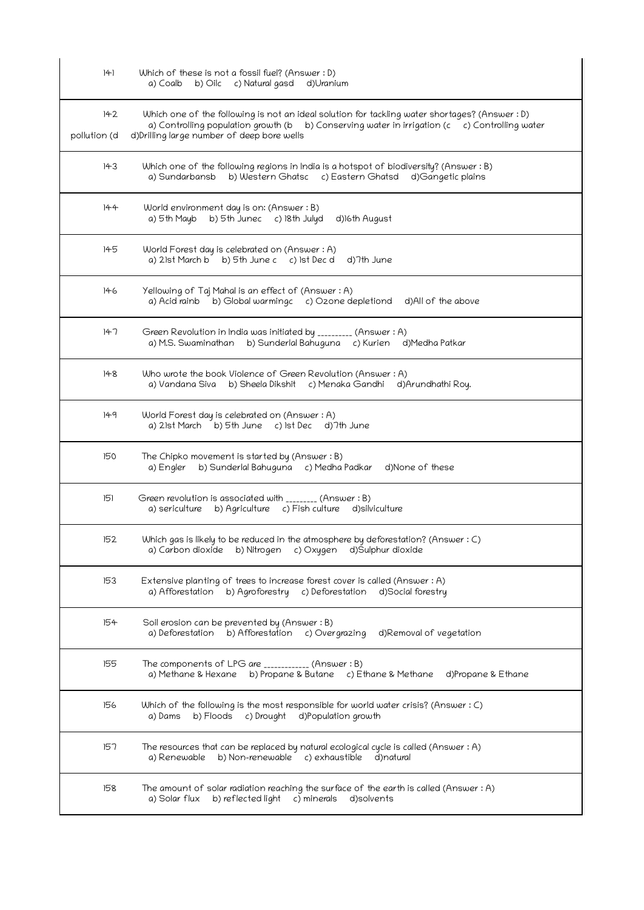| 141                 | Which of these is not a fossil fuel? (Answer : D)<br>b) Oilc c) Natural gasd<br>a) Coalb<br>d)Uranium                                                                                                                                          |
|---------------------|------------------------------------------------------------------------------------------------------------------------------------------------------------------------------------------------------------------------------------------------|
| 142<br>pollution (d | Which one of the following is not an ideal solution for tackling water shortages? (Answer : D)<br>a) Controlling population growth (b b) Conserving water in irrigation (c c) Controlling water<br>d) Drilling large number of deep bore wells |
| 143                 | Which one of the following regions in India is a hotspot of biodiversity? (Answer : B)<br>b) Western Ghatsc c) Eastern Ghatsd d)Gangetic plains<br>a) Sundarbansb                                                                              |
| 144                 | World environment day is on: (Answer : B)<br>a) 5th Mayb b) 5th Junec c) 18th Julyd<br>d)16th August                                                                                                                                           |
| 145                 | World Forest day is celebrated on (Answer : A)<br>a) 21st March b b) 5th June c c) 1st Dec d<br>d)7th June                                                                                                                                     |
| 146                 | Yellowing of Taj Mahal is an effect of (Answer: A)<br>b) Global warmingc c) Ozone depletiond<br>a) Acid rainb<br>d)All of the above                                                                                                            |
| 147                 | Green Revolution in India was initiated by _________ (Answer : A)<br>a) M.S. Swaminathan b) Sunderlal Bahuguna c) Kurien<br>d)Medha Patkar                                                                                                     |
| 148                 | Who wrote the book Violence of Green Revolution (Answer: A)<br>a) Vandana Siva b) Sheela Dikshit c) Menaka Gandhi d)Arundhathi Roy.                                                                                                            |
| 149                 | World Forest day is celebrated on (Answer: A)<br>a) 21st March b) 5th June c) 1st Dec d) 7th June                                                                                                                                              |
| 150                 | The Chipko movement is started by (Answer : B)<br>b) Sunderlal Bahuguna     c) Medha Padkar<br>d)None of these<br>a) Engler                                                                                                                    |
| 151                 | Green revolution is associated with _________ (Answer: B)<br>a) sericulture b) Agriculture c) Fish culture d) silviculture                                                                                                                     |
| 152                 | Which gas is likely to be reduced in the atmosphere by deforestation? (Answer : C)<br>a) Carbon dioxide b) Nitrogen c) Oxygen d) Sulphur dioxide                                                                                               |
| 153                 | Extensive planting of trees to increase forest cover is called (Answer : A)<br>a) Afforestation<br>b) Agroforestry c) Deforestation<br>d)Social forestry                                                                                       |
| 154                 | Soil erosion can be prevented by (Answer: B)<br>a) Deforestation b) Afforestation c) Overgrazing<br>d)Removal of vegetation                                                                                                                    |
| 155                 | The components of LPG are ____________ (Answer: B)<br>b) Propane & Butane c) Ethane & Methane d)Propane & Ethane<br>a) Methane & Hexane                                                                                                        |
| 156                 | Which of the following is the most responsible for world water crisis? (Answer : C)<br>b) Floods<br>d)Population growth<br>c) Drought<br>a) Dams                                                                                               |
| 157                 | The resources that can be replaced by natural ecological cycle is called (Answer: A)<br>a) Renewable b) Non-renewable c) exhaustible d) natural                                                                                                |
| 158                 | The amount of solar radiation reaching the surface of the earth is called (Answer : A)<br>a) Solar flux b) reflected light c) minerals<br>d)solvents                                                                                           |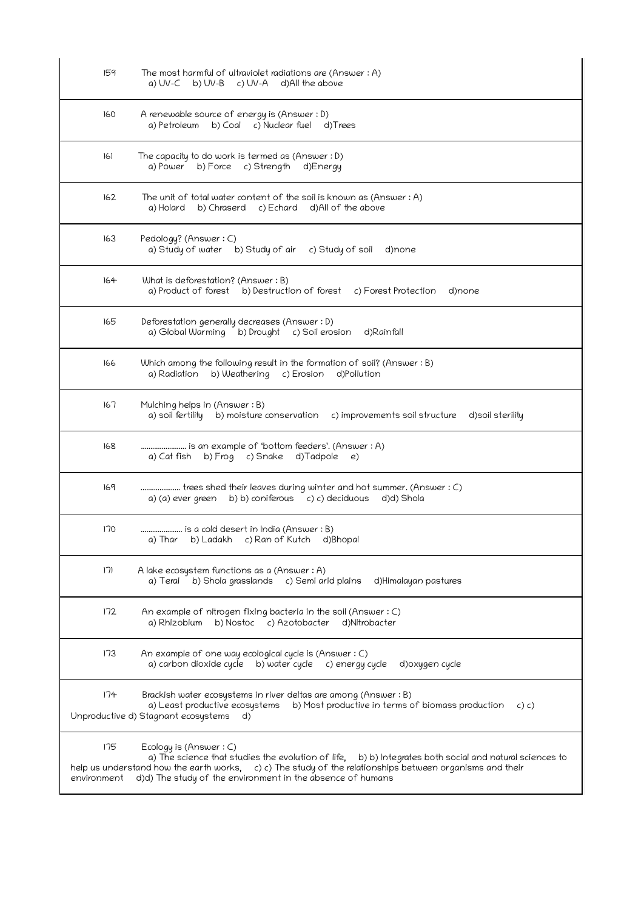| 159 | The most harmful of ultraviolet radiations are (Answer: A)<br>a) UV-C b) UV-B c) UV-A d)All the above                                                                                                                                         |
|-----|-----------------------------------------------------------------------------------------------------------------------------------------------------------------------------------------------------------------------------------------------|
| 160 | A renewable source of energy is (Answer: D)<br>b) Coal c) Nuclear fuel d) Trees<br>a) Petroleum                                                                                                                                               |
| 161 | The capacity to do work is termed as (Answer : D)<br>a) Power b) Force c) Strength d) Energy                                                                                                                                                  |
| 162 | The unit of total water content of the soil is known as (Answer : A)<br>b) Chraserd c) Echard d) All of the above<br>a) Holard                                                                                                                |
| 163 | Pedology? (Answer: C)<br>a) Study of water b) Study of air c) Study of soil<br>d)none                                                                                                                                                         |
| 164 | What is deforestation? (Answer: B)<br>a) Product of forest b) Destruction of forest c) Forest Protection d) none                                                                                                                              |
| 165 | Deforestation generally decreases (Answer: D)<br>a) Global Warming b) Drought c) Soil erosion<br>d)Rainfall                                                                                                                                   |
| 166 | Which among the following result in the formation of soil? (Answer : B)<br>a) Radiation b) Weathering c) Erosion d) Pollution                                                                                                                 |
| 167 | Mulching helps in (Answer: B)<br>a) soil fertility b) moisture conservation c) improvements soil structure<br>d)soil sterility                                                                                                                |
| 168 | is an example of 'bottom feeders'. (Answer : A)<br>a) Cat fish b) Frog c) Snake d) Tadpole e)                                                                                                                                                 |
| 169 | trees shed their leaves during winter and hot summer. (Answer : C)<br>a) (a) ever green b) b) coniferous c) c) deciduous d)d) Shola                                                                                                           |
| 170 | is a cold desert in India (Answer : B)<br>b) Ladakh c) Ran of Kutch d) Bhopal<br>a) Ihar                                                                                                                                                      |
| 171 | A lake ecosystem functions as a (Answer : A)<br>a) Terai b) Shola grasslands c) Semi arid plains<br>d)Himalayan pastures                                                                                                                      |
| 172 | An example of nitrogen fixing bacteria in the soil (Answer $: C$ )<br>b) Nostoc c) Azotobacter<br>d)Nitrobacter<br>a) Rhizobium                                                                                                               |
| 173 | An example of one way ecological cycle is (Answer : C)<br>a) carbon dioxide cycle b) water cycle c) energy cycle<br>d) oxygen cycle                                                                                                           |
| 174 | Brackish water ecosystems in river deltas are among (Answer : B)<br>a) Least productive ecosystems b) Most productive in terms of biomass production<br>c) c)<br>Unproductive d) Stagnant ecosystems<br>d)                                    |
| 175 | Ecology is (Answer: C)<br>a) The science that studies the evolution of life, b) b) Integrates both social and natural sciences to<br>help us understand how the earth works, c) c) The study of the relationships between organisms and their |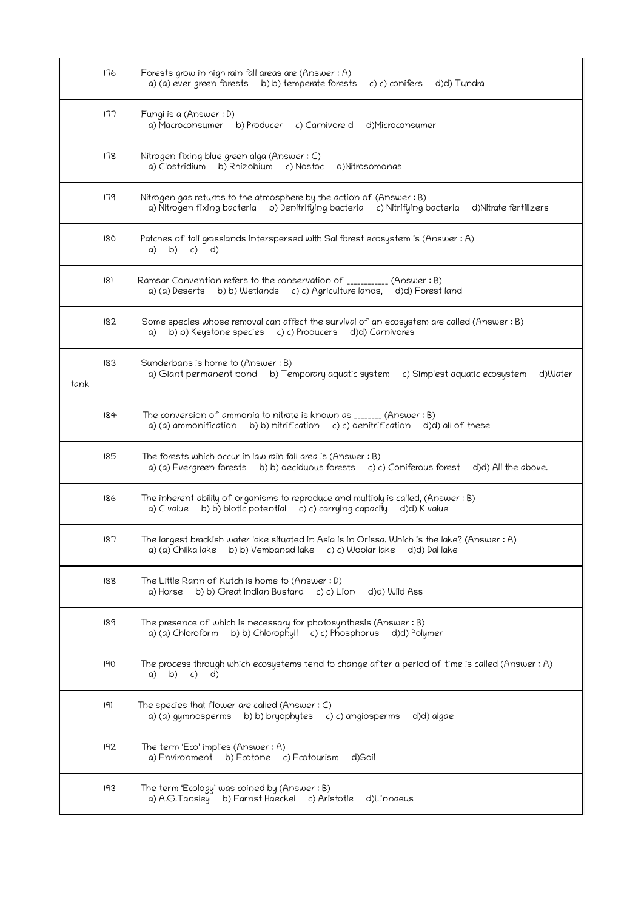|      | 176 | Forests grow in high rain fall areas are (Answer : A)<br>a) (a) ever green forests b) b) temperate forests<br>d)d) Tundra<br>c) c) conifers                                 |
|------|-----|-----------------------------------------------------------------------------------------------------------------------------------------------------------------------------|
|      | 177 | Fungi is a (Answer : D)<br>a) Macroconsumer b) Producer<br>c) Carnivore d<br>d)Microconsumer                                                                                |
|      | 178 | Nitrogen fixing blue green alga (Answer: C)<br>b) Rhizobium<br>a) Clostridium<br>c) Nostoc<br>d)Nitrosomonas                                                                |
|      | 179 | Nitrogen gas returns to the atmosphere by the action of (Answer: B)<br>a) Nitrogen fixing bacteria b) Denitrifying bacteria c) Nitrifying bacteria<br>d)Nitrate fertilizers |
|      | 180 | Patches of tall grasslands interspersed with Sal forest ecosystem is (Answer: A)<br>b)<br>c) d)<br>a)                                                                       |
|      | 181 | Ramsar Convention refers to the conservation of ___________ (Answer: B)<br>a) (a) Deserts b) b) Wetlands c) c) Agriculture lands, d)d) Forest land                          |
|      | 182 | Some species whose removal can affect the survival of an ecosystem are called (Answer: B)<br>a) b) b) Keystone species c) c) Producers d)d) Carnivores                      |
| tank | 183 | Sunderbans is home to (Answer: B)<br>a) Giant permanent pond b) Temporary aquatic system<br>d)Water<br>c) Simplest aquatic ecosystem                                        |
|      | 184 | The conversion of ammonia to nitrate is known as $_{\tt{-----}}$ (Answer : B)<br>a) (a) ammonification<br>b) b) nitrification c) c) denitrification<br>d)d) all of these    |
|      | 185 | The forests which occur in law rain fall area is (Answer $:B$ )<br>a) (a) Evergreen forests b) b) deciduous forests c) c) Coniferous forest d)d) All the above.             |
|      | 186 | The inherent ability of organisms to reproduce and multiply is called, (Answer: B)<br>b) b) biotic potential c) c) carrying capacity d)d) K value<br>a) C value             |
|      | 187 | The largest brackish water lake situated in Asia is in Orissa. Which is the lake? (Answer : A)<br>a) (a) Chilka lake b) b) Vembanad lake c) c) Woolar lake d)d) Dal lake    |
|      | 188 | The Little Rann of Kutch is home to (Answer: D)<br>b) b) Great Indian Bustard c) c) Lion<br>a) Horse<br>d)d) Wild Ass                                                       |
|      | 189 | The presence of which is necessary for photosynthesis (Answer $:B$ )<br>b) b) Chlorophyll c) c) Phosphorus<br>a) (a) Chloroform<br>d)d) Polymer                             |
|      | 190 | The process through which ecosystems tend to change after a period of time is called (Answer : A)<br>a) b) c)<br>d)                                                         |
|      | 191 | The species that flower are called (Answer $: C$ )<br>d)d) algae<br>a) (a) gymnosperms b) b) bryophytes c) c) angiosperms                                                   |
|      | 192 | The term 'Eco' implies (Answer: A)<br>a) Environment<br>b) Ecotone c) Ecotourism<br>d)Soil                                                                                  |
|      | 193 | The term 'Ecology' was coined by (Answer: B)<br>a) A.G.Tansley b) Earnst Haeckel c) Aristotle<br>d)Linnaeus                                                                 |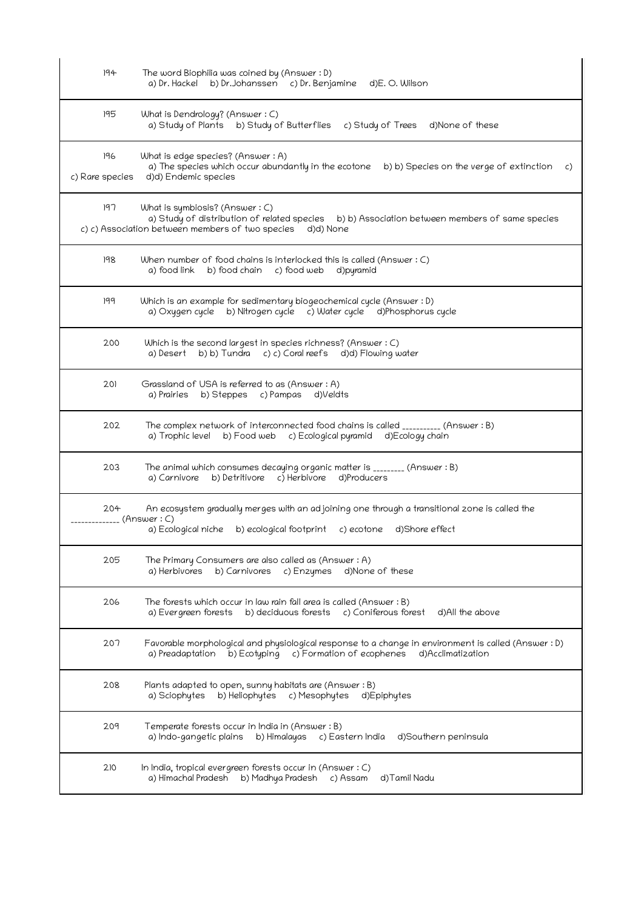| 194                    | The word Biophilia was coined by (Answer: D)<br>a) Dr. Hackel b) Dr. Johanssen c) Dr. Benjamine d)E. O. Wilson                                                                                 |
|------------------------|------------------------------------------------------------------------------------------------------------------------------------------------------------------------------------------------|
| 195                    | What is Dendrology? (Answer: C)<br>a) Study of Plants b) Study of Butterflies c) Study of Trees d) None of these                                                                               |
| 196<br>c) Rare species | What is edge species? (Answer : A)<br>a) The species which occur abundantly in the ecotone b) b) Species on the verge of extinction<br>C)<br>d)d) Endemic species                              |
| 197                    | What is symbiosis? (Answer : C)<br>a) Study of distribution of related species b) b) Association between members of same species<br>c) c) Association between members of two species d)d) None |
| 198                    | When number of food chains is interlocked this is called (Answer $: C$ )<br>a) food link b) food chain c) food web<br>d)pyramid                                                                |
| 199                    | Which is an example for sedimentary biogeochemical cycle (Answer: D)<br>a) Oxygen cycle b) Nitrogen cycle c) Water cycle d) Phosphorus cycle                                                   |
| 200                    | Which is the second largest in species richness? (Answer : C)<br>a) Desert b) b) Tundra c) c) Coral reefs d)d) Flowing water                                                                   |
| 201                    | Grassland of USA is referred to as (Answer: A)<br>a) Prairies<br>b) Steppes c) Pampas d) Veldts                                                                                                |
| 202                    | The complex network of interconnected food chains is called __________ (Answer: B)<br>a) Trophic level b) Food web c) Ecological pyramid d) Ecology chain                                      |
| 203                    | The animal which consumes decaying organic matter is ________ (Answer : B)<br>b) Detritivore c) Herbivore<br>d)Producers<br>a) Carnivore                                                       |
| 204<br>(Answer : C)    | An ecosystem gradually merges with an adjoining one through a transitional zone is called the<br>a) Ecological niche b) ecological footprint<br>c) ecotone d)Shore effect                      |
| 205                    | The Primary Consumers are also called as (Answer: A)<br>a) Herbivores<br>b) Carnivores<br>c) Enzymes<br>d)None of these                                                                        |
| 206                    | The forests which occur in law rain fall area is called (Answer: B)<br>d)All the above<br>b) deciduous forests<br>c) Coniferous forest<br>a) Evergreen forests                                 |
| 207                    | (Answer: D) Favorable morphological and physiological response to a change in environment is called<br>a) Preadaptation<br>b) Ecotyping<br>c) Formation of ecophenes<br>d)Acclimatization      |
| 208                    | Plants adapted to open, sunny habitats are (Answer: B)<br>a) Sciophytes<br>b) Heliophytes<br>c) Mesophytes<br>d)Epiphytes                                                                      |
| 209                    | Temperate forests occur in India in (Answer : B)<br>a) Indo-gangetic plains<br>b) Himalayas<br>d)Southern peninsula<br>c) Eastern India                                                        |
| 210                    | In India, tropical evergreen forests occur in (Answer $: C$ )<br>a) Himachal Pradesh<br>b) Madhya Pradesh<br>d)Tamil Nadu<br>c) Assam                                                          |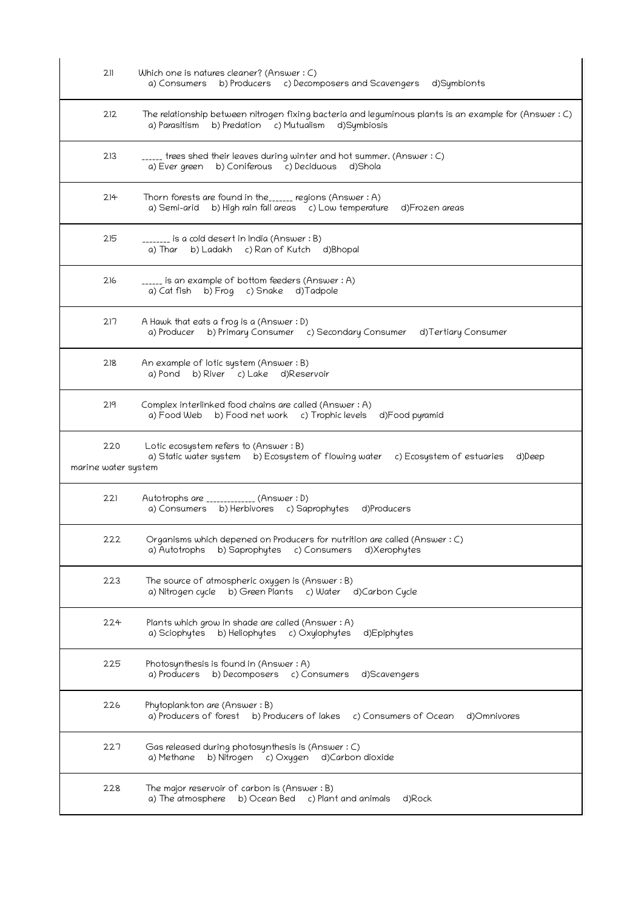| 211                        | Which one is natures cleaner? (Answer : C)<br>a) Consumers b) Producers c) Decomposers and Scavengers d) Symbionts                                                 |
|----------------------------|--------------------------------------------------------------------------------------------------------------------------------------------------------------------|
| 212                        | The relationship between nitrogen fixing bacteria and leguminous plants is an example for (Answer $:C$ )<br>a) Parasitism b) Predation c) Mutualism<br>d)Symbiosis |
| 213                        | _____ trees shed their leaves during winter and hot summer. (Answer : C)<br>b) Coniferous c) Deciduous d) Shola<br>a) Ever green                                   |
| 214                        | Thorn forests are found in the______ regions (Answer : A)<br>a) Semi-arid b) High rain fall areas c) Low temperature<br>d)Frozen areas                             |
| 215                        | _______ is a cold desert in India (Answer : B)<br>b) Ladakh c) Ran of Kutch d) Bhopal<br>a) Thar                                                                   |
| 216                        | _____ is an example of bottom feeders (Answer : A)<br>a) Cat fish b) Frog c) Snake d) Tadpole                                                                      |
| 217                        | A Hawk that eats a frog is a (Answer : D)<br>a) Producer b) Primary Consumer c) Secondary Consumer<br>d)Tertiary Consumer                                          |
| 218                        | An example of lotic system (Answer : B)<br>a) Pond b) River c) Lake d) Reservoir                                                                                   |
| 219                        | Complex interlinked food chains are called (Answer: A)<br>a) Food Web b) Food net work c) Trophic levels d) Food pyramid                                           |
| 220<br>marine water system | Lotic ecosystem refers to (Answer : B)<br>a) Static water system b) Ecosystem of flowing water c) Ecosystem of estuaries<br>d)Deep                                 |
| 221                        | Autotrophs are _____________ (Answer : D)<br>a) Consumers b) Herbivores c) Saprophytes d)Producers                                                                 |
| 222                        | Organisms which depened on Producers for nutrition are called (Answer: C)<br>b) Saprophytes c) Consumers<br>d)Xerophytes<br>a) Autotrophs                          |
| 223                        | The source of atmospheric oxygen is (Answer: B)<br>a) Nitrogen cycle b) Green Plants c) Water d) Carbon Cycle                                                      |
| 224                        | Plants which grow in shade are called (Answer : A)<br>b) Heliophytes<br>a) Sciophytes<br>c) Oxylophytes<br>d)Epiphytes                                             |
| 225                        | Photosynthesis is found in (Answer: A)<br>b) Decomposers c) Consumers d) Scavengers<br>a) Producers                                                                |
| 226                        | Phytoplankton are (Answer: B)<br>a) Producers of forest<br>b) Producers of lakes<br>c) Consumers of Ocean<br>d)Omnivores                                           |
| 227                        | Gas released during photosynthesis is (Answer: C)<br>b) Nitrogen c) Oxygen<br>a) Methane<br>d)Carbon dioxide                                                       |
| 228                        | The major reservoir of carbon is (Answer $:B$ )<br>a) The atmosphere<br>b) Ocean Bed c) Plant and animals<br>d)Rock                                                |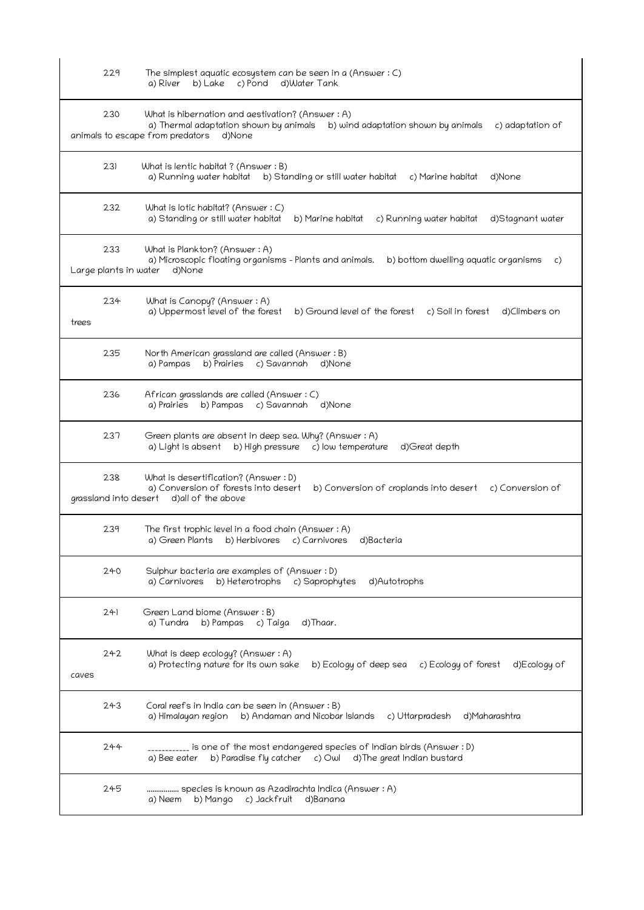| 229                          | The simplest aquatic ecosystem can be seen in a (Answer: C)<br>d)Water Tank<br>a) River<br>b) Lake c) Pond                                                                                           |
|------------------------------|------------------------------------------------------------------------------------------------------------------------------------------------------------------------------------------------------|
| 230                          | What is hibernation and aestivation? (Answer : A)<br>a) Thermal adaptation shown by animals<br>b) wind adaptation shown by animals<br>c) adaptation of<br>animals to escape from predators<br>d)None |
| 231                          | What is lentic habitat ? (Answer : B)<br>a) Running water habitat b) Standing or still water habitat<br>d)None<br>c) Marine habitat                                                                  |
| 232                          | What is lotic habitat? (Answer : C)<br>a) Standing or still water habitat<br>b) Marine habitat<br>c) Running water habitat<br>d)Stagnant water                                                       |
| 233<br>Large plants in water | What is Plankton? (Answer: A)<br>a) Microscopic floating organisms – Plants and animals.<br>b) bottom dwelling aquatic organisms<br>C)<br>d)None                                                     |
| 234<br>trees                 | What is Canopy? (Answer: A)<br>a) Uppermost level of the forest<br>b) Ground level of the forest<br>c) Soil in forest<br>d)Climbers on                                                               |
| 235                          | North American grassland are called (Answer: B)<br>b) Prairies c) Savannah d) None<br>a) Pampas                                                                                                      |
| 236                          | African grasslands are called (Answer: C)<br>b) Pampas<br>c) Savannah<br>d)None<br>a) Prairies                                                                                                       |
| 237                          | Green plants are absent in deep sea. Why? (Answer: A)<br>c) low temperature<br>b) High pressure<br>d)Great depth<br>a) Light is absent                                                               |
| 238<br>grassland into desert | What is desertification? (Answer : D)<br>a) Conversion of forests into desert<br>b) Conversion of croplands into desert<br>c) Conversion of<br>d) all of the above                                   |
| 239                          | The first trophic level in a food chain (Answer: A)<br>a) Green Plants b) Herbivores c) Carnivores<br>d)Bacteria                                                                                     |
| 240                          | Sulphur bacteria are examples of (Answer: D)<br>b) Heterotrophs<br>c) Saprophytes<br>d)Autotrophs<br>a) Carnivores                                                                                   |
| 241                          | Green Land biome (Answer: B)<br>a) Tundra b) Pampas c) Taiga<br>d)Thaar.                                                                                                                             |
| 242<br>caves                 | What is deep ecology? (Answer: A)<br>a) Protecting nature for its own sake<br>b) Ecology of deep sea<br>c) Ecology of forest<br>d)Ecology of                                                         |
| 243                          | Coral reefs in India can be seen in (Answer: B)<br>b) Andaman and Nicobar Islands<br>d)Maharashtra<br>a) Himalayan region<br>c) Uttarpradesh                                                         |
| 244                          | __________ is one of the most endangered species of Indian birds (Answer : D)<br>b) Paradise fly catcher c) Owl d) The great Indian bustard<br>a) Bee eater                                          |
| 245                          | species is known as Azadirachta Indica (Answer : A)<br>b) Mango c) Jackfruit<br>a) Neem<br>d)Banana                                                                                                  |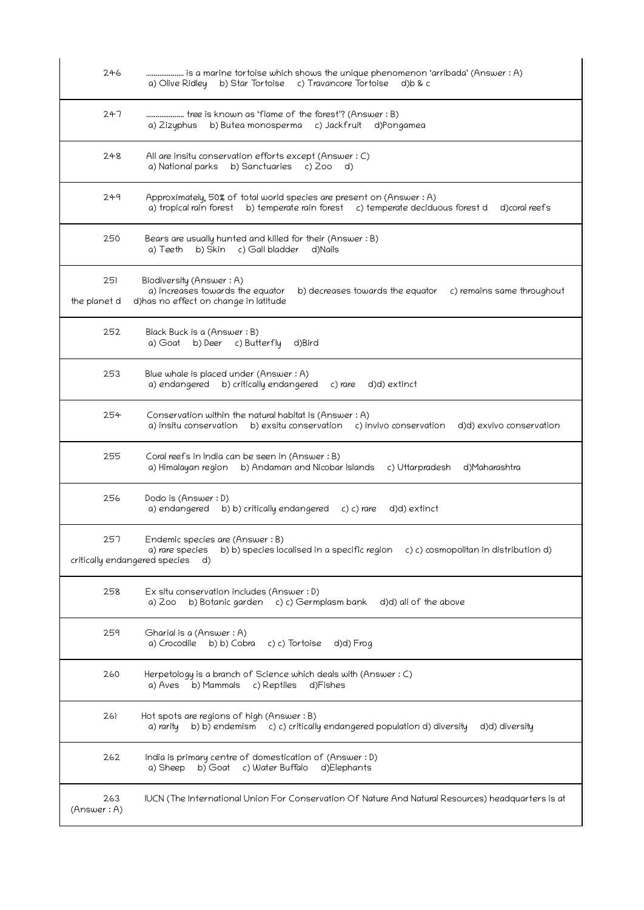| 246                 | is a marine tortoise which shows the unique phenomenon 'arribada' (Answer : A)<br>b) Star Tortoise c) Travancore Tortoise<br>a) Olive Ridley<br>d) b 8 c                           |
|---------------------|------------------------------------------------------------------------------------------------------------------------------------------------------------------------------------|
| 247                 | tree is known as 'flame of the forest'? (Answer : B)<br>b) Butea monosperma c) Jackfruit d)Pongamea<br>a) Zizyphus                                                                 |
| 248                 | All are insitu conservation efforts except (Answer : C)<br>a) National parks<br>b) Sanctuaries<br>$c)$ 200<br>d)                                                                   |
| 249                 | Approximately, 50% of total world species are present on (Answer: A)<br>a) tropical rain forest b) temperate rain forest c) temperate deciduous forest d<br>d) coral reefs         |
| 250                 | Bears are usually hunted and killed for their (Answer : B)<br>c) Gall bladder<br>b) Skin<br>a) Teeth<br>d)Nails                                                                    |
| 251<br>the planet d | Biodiversity (Answer: A)<br>a) increases towards the equator<br>b) decreases towards the equator<br>c) remains same throughout<br>d)has no effect on change in latitude            |
| 252                 | Black Buck is a (Answer: B)<br>a) Goat b) Deer c) Butterfly<br>d)Bird                                                                                                              |
| 253                 | Blue whale is placed under (Answer: A)<br>a) endangered b) critically endangered<br>c) rare<br>d)d) extinct                                                                        |
| 254                 | Conservation within the natural habitat is (Answer: A)<br>a) insitu conservation<br>b) exsitu conservation c) invivo conservation<br>d)d) exvivo conservation                      |
| 255                 | Coral reefs in India can be seen in (Answer: B)<br>b) Andaman and Nicobar Islands<br>c) Uttarpradesh<br>d)Maharashtra<br>a) Himalayan region                                       |
| 256                 | Dodo is (Answer: D)<br>a) endangered<br>b) b) critically endangered<br>d)d) extinct<br>c) c) rare                                                                                  |
| 257                 | Endemic species are (Answer: B)<br>b) b) species localised in a specific region<br>a) rare species<br>c) c) cosmopolitan in distribution d)<br>critically endangered species<br>d) |
| 258                 | Ex situ conservation includes (Answer : D)<br>a) Zoo<br>b) Botanic garden<br>c) c) Germplasm bank<br>d)d) all of the above                                                         |
| 259                 | Gharial is a (Answer: A)<br>a) Crocodile<br>b) b) Cobra<br>d)d) Frog<br>c) c) Tortoise                                                                                             |
| 260                 | Herpetology is a branch of Science which deals with (Answer: C)<br>b) Mammals<br>c) Reptiles<br>a) Aves<br>d)Fishes                                                                |
| 261                 | Hot spots are regions of high (Answer : B)<br>b) b) endemism c) c) critically endangered population d) diversity<br>d)d) diversity<br>a) rarity                                    |
| 262                 | India is primary centre of domestication of (Answer: D)<br>c) Water Buffalo<br>a) Sheep<br>b) Goat<br>d)Elephants                                                                  |
| 263<br>(Answer: A)  | IUCN (The International Union For Conservation Of Nature And Natural Resources) headquarters is at                                                                                 |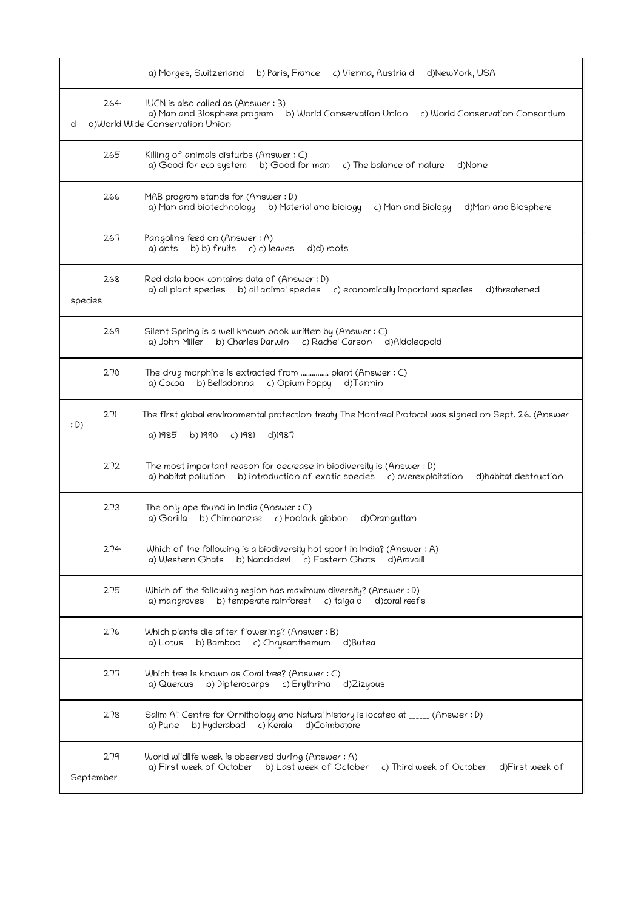|                  | d)NewYork, USA<br>a) Morges, Switzerland<br>b) Paris, France c) Vienna, Austria d                                                                                                |
|------------------|----------------------------------------------------------------------------------------------------------------------------------------------------------------------------------|
| 264<br>d         | IUCN is also called as (Answer: B)<br>a) Man and Biosphere program<br>b) World Conservation Union<br>c) World Conservation Consortium<br>d)World Wide Conservation Union         |
| 265              | Killing of animals disturbs (Answer : C)<br>a) Good for eco system<br>b) Good for man<br>c) The balance of nature<br>d)None                                                      |
| 266              | MAB program stands for (Answer: D)<br>a) Man and biotechnology<br>b) Material and biology<br>c) Man and Biology<br>d)Man and Biosphere                                           |
| 267              | Pangolins feed on (Answer: A)<br>b) b) fruits $c$ ) c) leaves<br>d)d) roots<br>a) ants                                                                                           |
| 268<br>species   | Red data book contains data of (Answer: D)<br>a) all plant species<br>b) all animal species c) economically important species<br>d)threatened                                    |
| 269              | Silent Spring is a well known book written by (Answer: C)<br>c) Rachel Carson d)Aldoleopold<br>b) Charles Darwin<br>a) John Miller                                               |
| 270              | The drug morphine is extracted from  plant (Answer : C)<br>b) Belladonna<br>c) Opium Poppy d) Tannin<br>a) Cocoa                                                                 |
| 271<br>: D)      | The first global environmental protection treaty The Montreal Protocol was signed on Sept. 26. (Answer<br>a) 1985<br>b) 1990<br>c) 1981<br>d)1987                                |
| 272              | The most important reason for decrease in biodiversity is (Answer : D)<br>b) introduction of exotic species c) overexploitation<br>a) habitat pollution<br>d)habitat destruction |
| 273              | The only ape found in India (Answer $: C$ )<br>a) Gorilla<br>b) Chimpanzee<br>c) Hoolock gibbon<br>d)Oranguttan                                                                  |
| 274              | Which of the following is a biodiversity hot sport in India? (Answer : A)<br>a) Western Ghats<br>b) Nandadevi c) Eastern Ghats<br>d)Aravalli                                     |
| 275              | Which of the following region has maximum diversity? (Answer : D)<br>b) temperate rainforest<br>c) taiga d<br>a) mangroves<br>d) coral reefs                                     |
| 276              | Which plants die after flowering? (Answer: B)<br>b) Bamboo<br>c) Chrysanthemum<br>d)Butea<br>a) Lotus                                                                            |
| 277              | Which tree is known as Coral tree? (Answer : C)<br>a) Quercus<br>b) Dipterocarps<br>c) Erythrina<br>d)Zizypus                                                                    |
| 278              | Salim Ali Centre for Ornithology and Natural history is located at _____ (Answer : D)<br>d)Coimbatore<br>b) Hyderabad<br>c) Kerala<br>a) Pune                                    |
| 279<br>September | World wildlife week is observed during (Answer: A)<br>a) First week of October<br>b) Last week of October<br>c) Third week of October<br>d)First week of                         |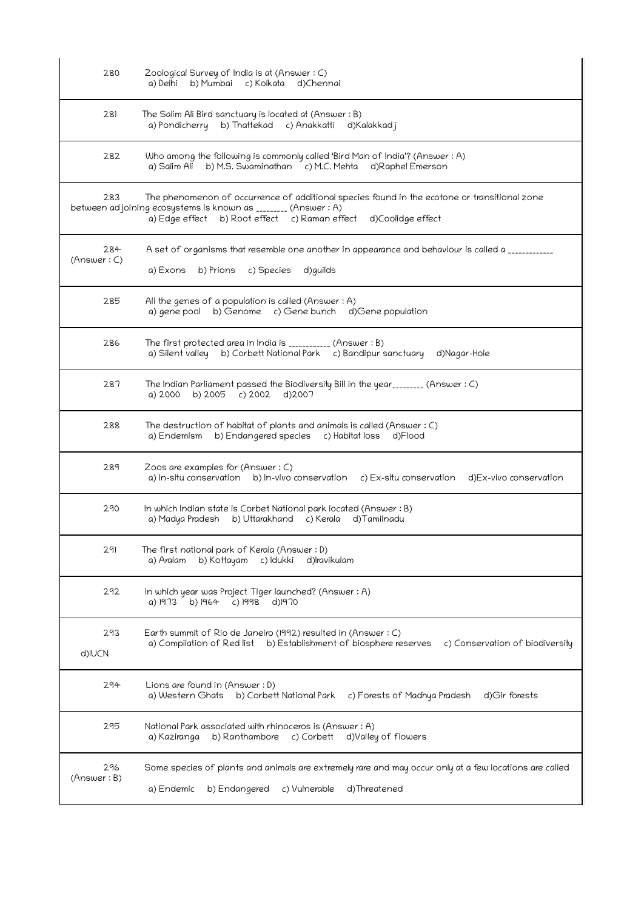| 280                | Zoological Survey of India is at (Answer: C)<br>b) Mumbai<br>c) Kolkata<br>a) Delhi<br>d)Chennai                                                                                                                                  |
|--------------------|-----------------------------------------------------------------------------------------------------------------------------------------------------------------------------------------------------------------------------------|
| 281                | The Salim Ali Bird sanctuary is located at (Answer: B)<br>b) Thattekad c) Anakkatti d) Kalakkad j<br>a) Pondicherry                                                                                                               |
| 282                | Who among the following is commonly called 'Bird Man of India'? (Answer : A)<br>b) M.S. Swaminathan c) M.C. Mehta d) Raphel Emerson<br>a) Salim Ali                                                                               |
| 283                | The phenomenon of occurrence of additional species found in the ecotone or transitional zone<br>between adjoining ecosystems is known as ________ (Answer: A)<br>a) Edge effect b) Root effect c) Raman effect d) Coolidge effect |
| 284<br>(Answer: C) | A set of organisms that resemble one another in appearance and behaviour is called a ____________<br>a) Exons b) Prions c) Species<br>d)guilds                                                                                    |
| 285                | All the genes of a population is called (Answer: A)<br>a) gene pool b) Genome c) Gene bunch d) Gene population                                                                                                                    |
| 286                | The first protected area in India is ___________ (Answer : B)<br>a) Silent valley b) Corbett National Park c) Bandipur sanctuary d) Nagar-Hole                                                                                    |
| 287                | The Indian Parliament passed the Biodiversity Bill in the year________ (Answer: C)<br>b) $2005$ c) $2002$<br>a) 2000<br>d)2007                                                                                                    |
| 288                | The destruction of habitat of plants and animals is called (Answer $: C$ )<br>a) Endemism b) Endangered species<br>c) Habitat loss<br>d)Flood                                                                                     |
| 289                | Zoos are examples for (Answer: C)<br>a) In-situ conservation b) In-vivo conservation c) Ex-situ conservation d) Ex-vivo conservation                                                                                              |
| 290                | In which Indian state is Corbet National park located (Answer: B)<br>a) Madya Pradesh<br>b) Uttarakhand c) Kerala<br>d)Tamilnadu                                                                                                  |
| 291                | The first national park of Kerala (Answer: D)<br>b) Kottayam<br>c) ldukki<br>d) ravikulam<br>a) Aralam                                                                                                                            |
| 292                | In which year was Project Tiger launched? (Answer : A)<br>a) 1973<br>b) 1964<br>c) 1998<br>d)1970                                                                                                                                 |
| 293<br>d)IUCN      | Earth summit of Rio de Janeiro (1992) resulted in (Answer : C)<br>a) Compilation of Red list<br>b) Establishment of biosphere reserves<br>c) Conservation of biodiversity                                                         |
| 294                | Lions are found in (Answer : D)<br>a) Western Ghats<br>b) Corbett National Park<br>c) Forests of Madhya Pradesh<br>d) Gir forests                                                                                                 |
| 295                | National Park associated with rhinoceros is (Answer: A)<br>b) Ranthambore<br>a) Kaziranga<br>c) Corbett<br>d)Valley of flowers                                                                                                    |
| 296<br>(Answer: B) | Some species of plants and animals are extremely rare and may occur only at a few locations are called<br>a) Endemic<br>b) Endangered<br>c) Vulnerable<br>d)Threatened                                                            |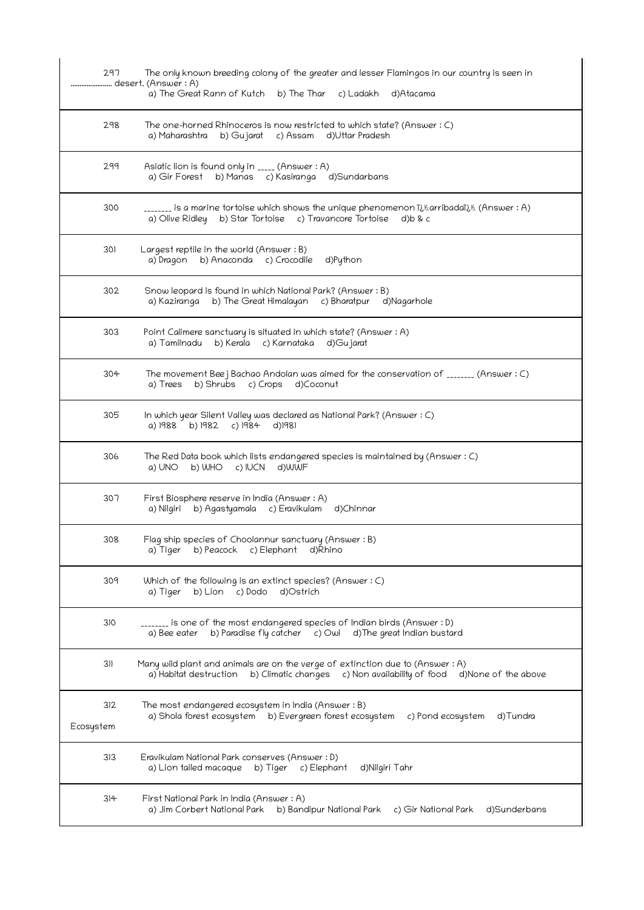| 297              | The only known breeding colony of the greater and lesser Flamingos in our country is seen in<br>desert. (Answer : A)<br>a) The Great Rann of Kutch b) The Thar c) Ladakh<br>d)Atacama |
|------------------|---------------------------------------------------------------------------------------------------------------------------------------------------------------------------------------|
| 298              | The one-horned Rhinoceros is now restricted to which state? (Answer $: C$ )<br>b) Gujarat c) Assam d) Uttar Pradesh<br>a) Maharashtra                                                 |
| 299              | Asiatic lion is found only in _____ (Answer : A)<br>a) Gir Forest b) Manas c) Kasiranga d) Sundarbans                                                                                 |
| 300              | _______ is a marine tortoise which shows the unique phenomenon ii½arribadaïi½ (Answer : A)<br>a) Olive Ridley b) Star Tortoise c) Travancore Tortoise<br>d)b & c                      |
| 301              | Largest reptile in the world (Answer : B)<br>a) Dragon b) Anaconda c) Crocodile<br>d)Python                                                                                           |
| 302              | Snow leopard is found in which National Park? (Answer: B)<br>a) Kaziranga b) The Great Himalayan c) Bharatpur d) Nagarhole                                                            |
| 303              | Point Calimere sanctuary is situated in which state? (Answer : A)<br>a) Tamilnadu<br>b) Kerala c) Karnataka<br>d)Gujarat                                                              |
| 304              | The movement Bee j Bachao Andolan was aimed for the conservation of $_{\_$<br>b) Shrubs c) Crops d) Coconut<br>a) Trees                                                               |
| 305              | In which year Silent Valley was declared as National Park? (Answer : C)<br>a) 1988<br>b) 1982<br>c) 1984<br>d)1981                                                                    |
| 306              | The Red Data book which lists endangered species is maintained by (Answer : C)<br>b) WHO $c$ ) IUCN<br>d)WWF<br>a) UNO                                                                |
| 307              | First Biosphere reserve in India (Answer: A)<br>a) Nilgiri b) Agastyamala c) Eravikulam d)Chinnar                                                                                     |
| 308              | Flag ship species of Choolannur sanctuary (Answer: B)<br>a) Tiger b) Peacock c) Elephant<br>d)Rhino                                                                                   |
| 309              | Which of the following is an extinct species? (Answer $: C$ )<br>b) Lion c) Dodo<br>d)Ostrich<br>a) Tiger                                                                             |
| 310              | _______ is one of the most endangered species of Indian birds (Answer : D)<br>b) Paradise fly catcher c) Owl d) The great Indian bustard<br>a) Bee eater                              |
| 311              | Many wild plant and animals are on the verge of extinction due to (Answer : A)<br>d)None of the above<br>a) Habitat destruction b) Climatic changes c) Non availability of food       |
| 312<br>Ecosystem | The most endangered ecosystem in India (Answer : B)<br>a) Shola forest ecosystem    b) Evergreen forest ecosystem<br>c) Pond ecosystem<br>d)Tundra                                    |
| 313              | Eravikulam National Park conserves (Answer: D)<br>d)Nilgiri Tahr<br>a) Lion tailed macaque<br>b) Tiger c) Elephant                                                                    |
| 314              | First National Park in India (Answer : A)<br>a) Jim Corbert National Park b) Bandipur National Park<br>c) Gir National Park<br>d)Sunderbans                                           |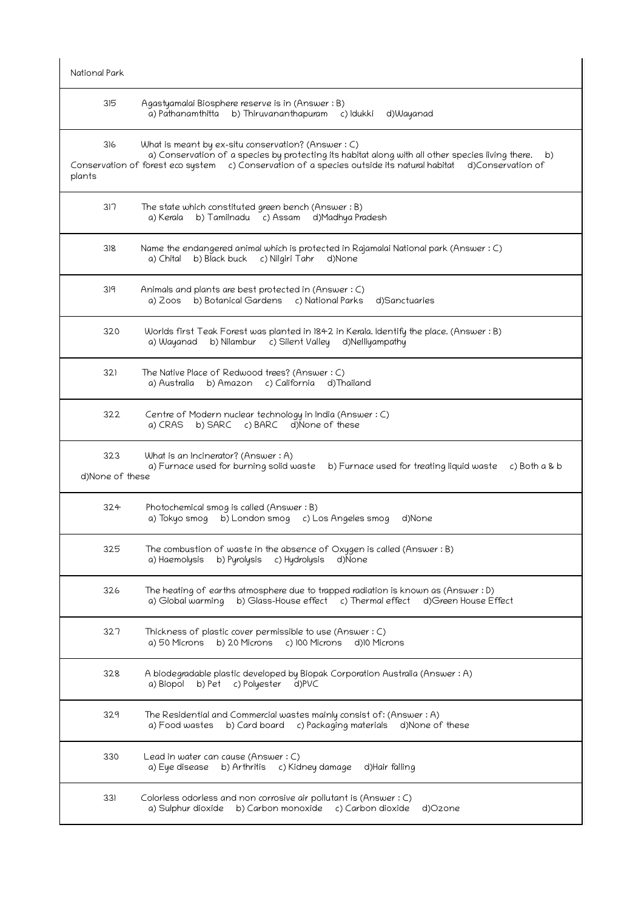| National Park          |                                                                                                                                                                                                                                                                                   |
|------------------------|-----------------------------------------------------------------------------------------------------------------------------------------------------------------------------------------------------------------------------------------------------------------------------------|
| 315                    | Agastyamalai Biosphere reserve is in (Answer : B)<br>a) Pathanamthitta b) Thiruvananthapuram c) Idukki d)Wayanad                                                                                                                                                                  |
| 316<br>plants          | What is meant by ex-situ conservation? (Answer $: C$ )<br>a) Conservation of a species by protecting its habitat along with all other species living there.<br>b)<br>Conservation of forest eco system c) Conservation of a species outside its natural habitat d)Conservation of |
| 317                    | The state which constituted green bench (Answer : B)<br>b) Tamilnadu c) Assam d) Madhya Pradesh<br>a) Kerala                                                                                                                                                                      |
| 318                    | Name the endangered animal which is protected in Rajamalai National park (Answer : C)<br>b) Black buck<br>c) Nilgiri Tahr<br>d)None<br>a) Chital                                                                                                                                  |
| 319                    | Animals and plants are best protected in (Answer : C)<br>b) Botanical Gardens c) National Parks<br>d)Sanctuaries<br>a) Zoos                                                                                                                                                       |
| 320                    | Worlds first Teak Forest was planted in 1842 in Kerala. Identify the place. (Answer: B)<br>b) Nilambur<br>c) Silent Valley<br>d)Nelliyampathy<br>a) Wayanad                                                                                                                       |
| 321                    | The Native Place of Redwood trees? (Answer: C)<br>b) Amazon c) California d) Thailand<br>a) Australia                                                                                                                                                                             |
| 322                    | Centre of Modern nuclear technology in India (Answer: C)<br>a) CRAS<br>b) SARC c) BARC d) None of these                                                                                                                                                                           |
| 323<br>d)None of these | What is an Incinerator? (Answer : A)<br>a) Furnace used for burning solid waste<br>$c)$ Both a & b<br>b) Furnace used for treating liquid waste                                                                                                                                   |
| 324                    | Photochemical smog is called (Answer: B)<br>a) Tokyo smog<br>b) London smog c) Los Angeles smog<br>d)None                                                                                                                                                                         |
| 325                    | The combustion of waste in the absence of Oxygen is called (Answer : B)<br>b) Pyrolysis<br>d)None<br>a) Haemolysis<br>c) Hydrolysis                                                                                                                                               |
| 326                    | The heating of earths atmosphere due to trapped radiation is known as (Answer: D)<br>b) Glass-House effect c) Thermal effect d) Green House Effect<br>a) Global warming                                                                                                           |
| 327                    | Thickness of plastic cover permissible to use (Answer : C)<br>b) 20 Microns<br>c) 100 Microns<br>a) 50 Microns<br>d)10 Microns                                                                                                                                                    |
| 328                    | A biodegradable plastic developed by Biopak Corporation Australia (Answer : A)<br>c) Polyester<br>d)PVC<br>a) Biopol b) Pet                                                                                                                                                       |
| 329                    | The Residential and Commercial wastes mainly consist of: (Answer : A)<br>a) Food wastes<br>b) Card board<br>c) Packaging materials<br>d)None of these                                                                                                                             |
| 330                    | Lead in water can cause (Answer: C)<br>b) Arthritis c) Kidney damage d) Hair falling<br>a) Eye disease                                                                                                                                                                            |
| 331                    | Colorless odorless and non corrosive air pollutant is (Answer : C)<br>a) Sulphur dioxide b) Carbon monoxide c) Carbon dioxide<br>d)Ozone                                                                                                                                          |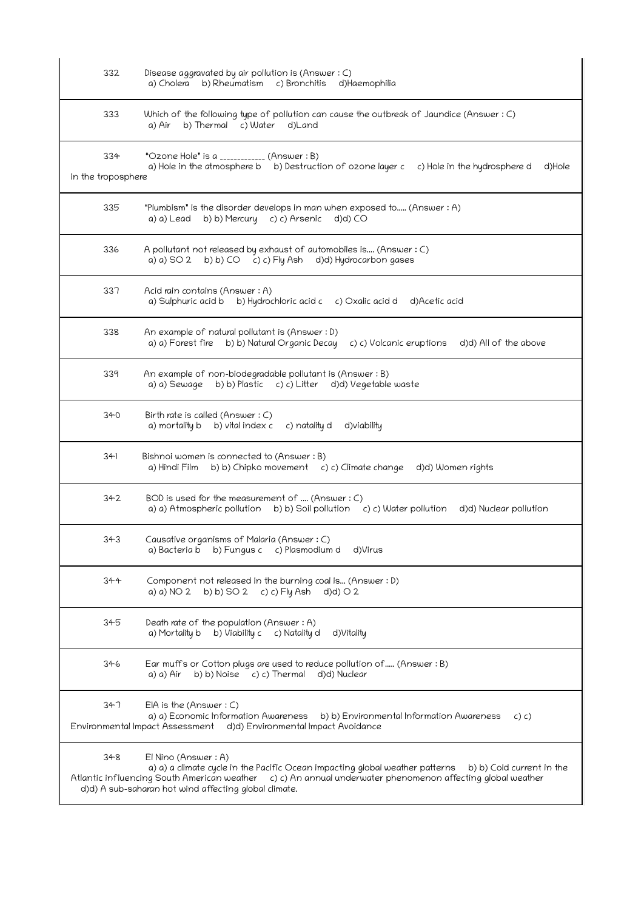| 332                       | Disease aggravated by air pollution is (Answer: C)<br>b) Rheumatism c) Bronchitis d) Haemophilia<br>a) Cholera                                                                                                                                                                                           |
|---------------------------|----------------------------------------------------------------------------------------------------------------------------------------------------------------------------------------------------------------------------------------------------------------------------------------------------------|
| 333                       | Which of the following type of pollution can cause the outbreak of Jaundice (Answer: C)<br>b) Thermal c) Water d) Land<br>a) Air                                                                                                                                                                         |
| 334<br>in the troposphere | "Ozone Hole" is a ____________ (Answer : B)<br>a) Hole in the atmosphere b b) Destruction of ozone layer c c) Hole in the hydrosphere d<br>d)Hole                                                                                                                                                        |
| 335                       | "Plumbism" is the disorder develops in man when exposed to (Answer : A)<br>b) b) Mercury c) c) Arsenic<br>d)d) CO<br>a) a) Lead                                                                                                                                                                          |
| 336                       | A pollutant not released by exhaust of automobiles is (Answer : C)<br>a) a) SO 2 b) b) CO c) c) Fly Ash d)d) Hydrocarbon gases                                                                                                                                                                           |
| 337                       | Acid rain contains (Answer: A)<br>a) Sulphuric acid b<br>b) Hydrochloric acid c c) Oxalic acid d d)Acetic acid                                                                                                                                                                                           |
| 338                       | An example of natural pollutant is (Answer : D)<br>a) a) Forest fire b) b) Natural Organic Decay<br>c) c) Volcanic eruptions d)d) All of the above                                                                                                                                                       |
| 339                       | An example of non-biodegradable pollutant is (Answer: B)<br>b) b) Plastic c) c) Litter d)d) Vegetable waste<br>a) a) Sewage                                                                                                                                                                              |
| 340                       | Birth rate is called (Answer : C)<br>a) mortality b b) vital index c c) natality d d) viability                                                                                                                                                                                                          |
| 341                       | Bishnoi women is connected to (Answer: B)<br>b) b) Chipko movement c) c) Climate change d)d) Women rights<br>a) Hindi Film                                                                                                                                                                               |
| 342                       | BOD is used for the measurement of  (Answer: C)<br>a) a) Atmospheric pollution b) b) Soil pollution c) c) Water pollution<br>d)d) Nuclear pollution                                                                                                                                                      |
| 343                       | Causative organisms of Malaria (Answer: C)<br>a) Bacteria b b) Fungus c c) Plasmodium d<br>d)Virus                                                                                                                                                                                                       |
| 344                       | Component not released in the burning coal is (Answer : D)<br>a) a) NO 2<br>b) b) SO 2 c) c) Fly Ash<br>$d(d)$ O 2                                                                                                                                                                                       |
| 345                       | Death rate of the population (Answer: A)<br>b) Viability c c) Natality d<br>a) Mortality b<br>d)Vitality                                                                                                                                                                                                 |
| 346                       | Ear muffs or Cotton plugs are used to reduce pollution of (Answer: B)<br>b) b) Noise c) c) Thermal d)d) Nuclear<br>a) a) Air                                                                                                                                                                             |
| 347                       | $E[A]$ is the (Answer : C)<br>a) a) Economic Information Awareness<br>b) b) Environmental Information Awareness<br>c) c)<br>Environmental Impact Assessment d)d) Environmental Impact Avoidance                                                                                                          |
| 348                       | El Nino (Answer : A)<br>a) a) a climate cycle in the Pacific Ocean impacting global weather patterns<br>b) b) Cold current in the<br>Atlantic influencing South American weather c) c) An annual underwater phenomenon affecting global weather<br>d)d) A sub-saharan hot wind affecting global climate. |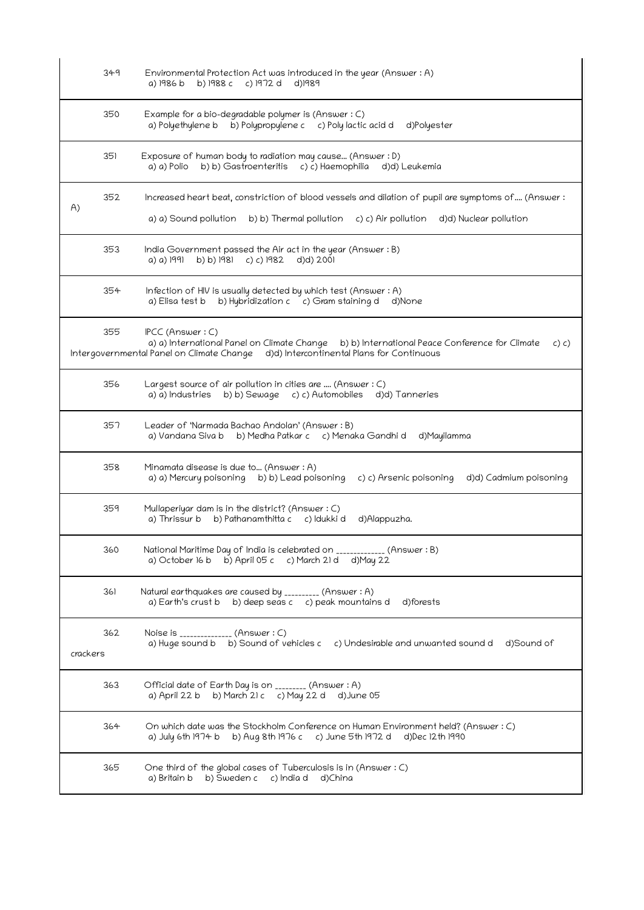| 349             | Environmental Protection Act was introduced in the year (Answer : A)<br>b) 1988 c c) 1972 d<br>a) 1986 b<br>d)1989                                                                                                |
|-----------------|-------------------------------------------------------------------------------------------------------------------------------------------------------------------------------------------------------------------|
| 350             | Example for a bio-degradable polymer is (Answer: C)<br>b) Polypropylene c c) Poly lactic acid d d) Polyester<br>a) Polyethylene b                                                                                 |
| 351             | Exposure of human body to radiation may cause (Answer : D)<br>b) b) Gastroenteritis c) c) Haemophilia<br>a) a) Polio<br>d)d) Leukemia                                                                             |
| 352<br>A)       | Increased heart beat, constriction of blood vessels and dilation of pupil are symptoms of (Answer:<br>a) a) Sound pollution<br>b) b) Thermal pollution<br>c) c) Air pollution<br>d)d) Nuclear pollution           |
| 353             | India Government passed the Air act in the year (Answer: B)<br>b) b) 1981 c) c) 1982<br>d)d) 2001<br>a) a) 1991                                                                                                   |
| 354             | Infection of HIV is usually detected by which test (Answer : A)<br>b) Hybridization c c) Gram staining d d)None<br>a) Elisa test b                                                                                |
| 355             | IPCC (Answer: C)<br>a) a) International Panel on Climate Change b) b) International Peace Conference for Climate<br>c) c)<br>Intergovernmental Panel on Climate Change d)d) Intercontinental Plans for Continuous |
| 356             | Largest source of air pollution in cities are  (Answer : C)<br>b) b) Sewage c) c) Automobiles d)d) Tanneries<br>a) a) Industries                                                                                  |
| 357             | Leader of 'Narmada Bachao Andolan' (Answer: B)<br>a) Vandana Siva b<br>b) Medha Patkar c c) Menaka Gandhi d<br>d)Mayilamma                                                                                        |
| 358             | Minamata disease is due to (Answer: A)<br>a) a) Mercury poisoning b) b) Lead poisoning<br>c) c) Arsenic poisoning<br>d)d) Cadmium poisoning                                                                       |
| 359             | Mullaperiyar dam is in the district? (Answer : C)<br>b) Pathanamthitta c<br>a) Thrissur b<br>c) ldukki d<br>d)Alappuzha.                                                                                          |
| 360             | National Maritime Day of India is celebrated on _____________ (Answer : B)<br>a) October 16 b<br>b) April 05 $c$ c) March 21 d d) May 22                                                                          |
| 361             | Natural earthquakes are caused by _________ (Answer: A)<br>a) Earth's crust b b) deep seas c c) peak mountains d<br>d)forests                                                                                     |
| 362<br>crackers | Noise is _______________ (Answer : C)<br>a) Huge sound b b) Sound of vehicles c c) Undesirable and unwanted sound d d) Sound of                                                                                   |
| 363             | Official date of Earth Day is on ________ (Answer : A)<br>a) April 22 b b) March 21 c c) May 22 d<br>d)June 05                                                                                                    |
| 364             | On which date was the Stockholm Conference on Human Environment held? (Answer : C)<br>a) July 6th 1974 b b) Aug 8th 1976 c c) June 5th 1972 d d) Dec 12th 1990                                                    |
| 365             | One third of the global cases of Tuberculosis is in (Answer: C)<br>a) Britain b b) Sweden c c) India d d)China                                                                                                    |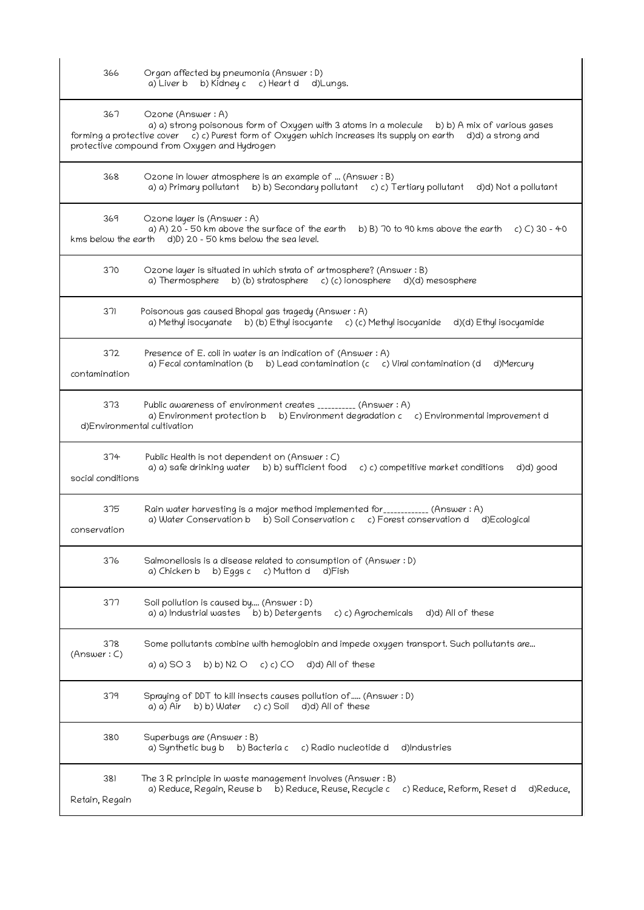| 366                      | Organ affected by pneumonia (Answer: D)<br>b) Kidney c c) Heart d<br>a) Liver b<br>d)Lungs.                                                                                                                                                                                        |
|--------------------------|------------------------------------------------------------------------------------------------------------------------------------------------------------------------------------------------------------------------------------------------------------------------------------|
| 367                      | Ozone (Answer: A)<br>a) a) strong poisonous form of Oxygen with 3 atoms in a molecule b) b) A mix of various gases<br>forming a protective cover c) c) Purest form of Oxygen which increases its supply on earth d)d) a strong and<br>protective compound from Oxygen and Hydrogen |
| 368                      | Ozone in lower atmosphere is an example of  (Answer: B)<br>a) a) Primary pollutant b) b) Secondary pollutant c) c) Tertiary pollutant d)d) Not a pollutant                                                                                                                         |
| 369                      | Ozone layer is (Answer: A)<br>a) A) $20 - 50$ km above the surface of the earth b) B) 70 to 90 kms above the earth c) C) 30 - 40<br>kms below the earth d)D) 20 - 50 kms below the sea level.                                                                                      |
| 370                      | Ozone layer is situated in which strata of artmosphere? (Answer : B)<br>a) Thermosphere b) (b) stratosphere c) (c) ionosphere d)(d) mesosphere                                                                                                                                     |
| 371                      | Poisonous gas caused Bhopal gas tragedy (Answer: A)<br>a) Methyl isocyanate b) (b) Ethyl isocyante c) (c) Methyl isocyanide d)(d) Ethyl isocyamide                                                                                                                                 |
| 372<br>contamination     | Presence of E. coli in water is an indication of (Answer: A)<br>a) Fecal contamination (b b) Lead contamination (c c) Viral contamination (d<br>d)Mercury                                                                                                                          |
| 373                      | Public awareness of environment creates __________ (Answer: A)<br>a) Environment protection b b) Environment degradation c c) Environmental improvement d<br>d)Environmental cultivation                                                                                           |
| 374<br>social conditions | Public Health is not dependent on (Answer: C)<br>a) a) safe drinking water b) b) sufficient food<br>c) c) competitive market conditions<br>d)d) good                                                                                                                               |
| 375<br>conservation      | Rain water harvesting is a major method implemented for____________ (Answer: A)<br>a) Water Conservation b b) Soil Conservation c c) Forest conservation d<br>d)Ecological                                                                                                         |
| 376                      | Salmonellosis is a disease related to consumption of (Answer: D)<br>a) Chicken b<br>b) Eggs $c$<br>c) Mutton d<br>d)Fish                                                                                                                                                           |
| 377                      | Soil pollution is caused by (Answer : D)<br>a) a) Industrial wastes<br>b) b) Detergents<br>c) c) Agrochemicals<br>d)d) All of these                                                                                                                                                |
| 378<br>(Answer: C)       | Some pollutants combine with hemoglobin and impede oxygen transport. Such pollutants are<br>d)d) All of these<br>a) a) SO 3<br>b) b) N2 O<br>c) c) CO                                                                                                                              |
| 379                      | Spraying of DDT to kill insects causes pollution of (Answer : D)<br>b) b) Water<br>c) c) Soil<br>d)d) All of these<br>a) a) Air                                                                                                                                                    |
| 380                      | Superbugs are (Answer: B)<br>a) Synthetic bug b<br>d)Industries<br>b) Bacteria c<br>c) Radio nucleotide d                                                                                                                                                                          |
| 381<br>Retain, Regain    | The 3 R principle in waste management involves (Answer: B)<br>a) Reduce, Regain, Reuse b<br>b) Reduce, Reuse, Recycle c<br>c) Reduce, Reform, Reset d<br>d)Reduce.                                                                                                                 |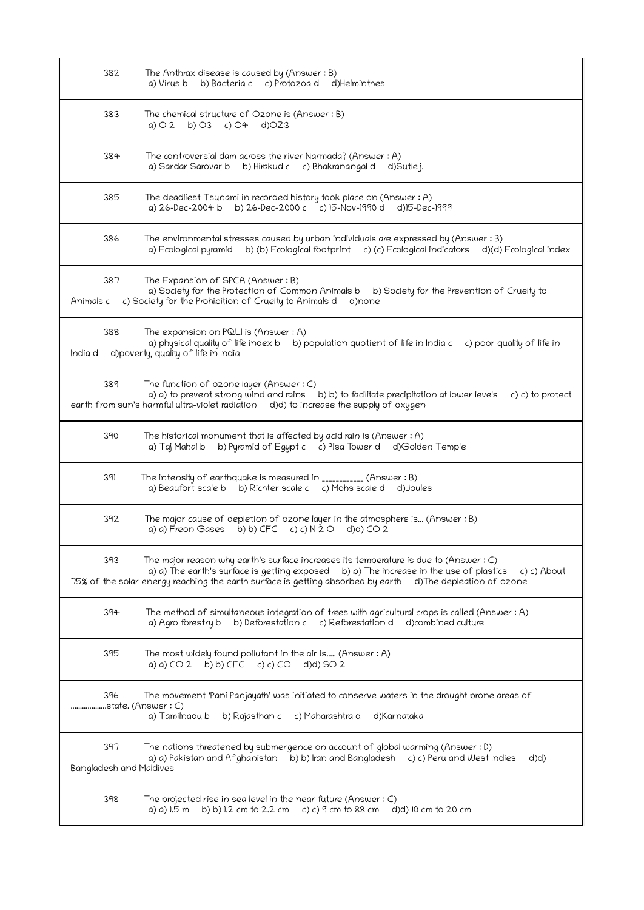| 382                            | The Anthrax disease is caused by (Answer $:B$ )<br>b) Bacteria c c) Protozoa d d) Helminthes<br>a) Virus b                                                                                                                                                                                                        |
|--------------------------------|-------------------------------------------------------------------------------------------------------------------------------------------------------------------------------------------------------------------------------------------------------------------------------------------------------------------|
| 383                            | The chemical structure of Ozone is (Answer: B)<br>b) $O3$ c) $O4$<br>$d$ ) $OZ3$<br>$a)$ $\bigcirc$ 2                                                                                                                                                                                                             |
| 384                            | The controversial dam across the river Narmada? (Answer: A)<br>a) Sardar Sarovar b b) Hirakud c c) Bhakranangal d d) Sutlej.                                                                                                                                                                                      |
| 385                            | The deadliest Tsunami in recorded history took place on (Answer: A)<br>a) 26-Dec-2004 b b) 26-Dec-2000 c c) 15-Nov-1990 d d)15-Dec-1999                                                                                                                                                                           |
| 386                            | The environmental stresses caused by urban individuals are expressed by (Answer : B)<br>a) Ecological pyramid b) (b) Ecological footprint c) (c) Ecological indicators d)(d) Ecological index                                                                                                                     |
| 387<br>Animals c               | The Expansion of SPCA (Answer: B)<br>a) Society for the Protection of Common Animals b<br>b) Society for the Prevention of Cruelty to<br>c) Society for the Prohibition of Cruelty to Animals day) none                                                                                                           |
| 388<br>India d                 | The expansion on PQLI is (Answer: A)<br>a) physical quality of life index b b) population quotient of life in India c c) poor quality of life in<br>d)poverty, quality of life in India                                                                                                                           |
| 389                            | The function of ozone layer (Answer: C)<br>a) a) to prevent strong wind and rains b) b) to facilitate precipitation at lower levels<br>c) c) to protect<br>earth from sun's harmful ultra-violet radiation d)d) to increase the supply of oxygen                                                                  |
| 390                            | The historical monument that is affected by acid rain is (Answer : A)<br>b) Pyramid of Egypt c c) Pisa Tower d d)Golden Temple<br>a) Taj Mahal b                                                                                                                                                                  |
| 391                            | The intensity of earthquake is measured in ___________ (Answer : B)<br>a) Beaufort scale b b) Richter scale c c) Mohs scale d d) Joules                                                                                                                                                                           |
| 392                            | The major cause of depletion of ozone layer in the atmosphere is (Answer: B)<br>a) a) Freon Gases b) b) CFC c) c) $N$ 2 0 d)d) CO 2                                                                                                                                                                               |
| 393                            | The major reason why earth's surface increases its temperature is due to (Answer $:C$ )<br>a) a) The earth's surface is getting exposed b) b) The increase in the use of plastics<br>c) c) About<br>75% of the solar energy reaching the earth surface is getting absorbed by earth<br>d) The depleation of ozone |
| 394                            | The method of simultaneous integration of trees with agricultural crops is called (Answer : A)<br>a) Agro forestry b<br>b) Deforestation c c) Reforestation d<br>d)combined culture                                                                                                                               |
| 395                            | The most widely found pollutant in the air is (Answer $:A$ )<br>b) b) CFC<br>c) c) $CO$<br>$d(d)$ SO 2<br>a) a) $CO2$                                                                                                                                                                                             |
| 396<br>state. (Answer : C)     | The movement 'Pani Panjayath' was initiated to conserve waters in the drought prone areas of<br>a) Tamilnadu b<br>b) Rajasthan c<br>c) Maharashtra d<br>d)Karnataka                                                                                                                                               |
| 397<br>Bangladesh and Maldives | The nations threatened by submergence on account of global warming (Answer : D)<br>a) a) Pakistan and Afghanistan b) b) Iran and Bangladesh c) c) Peru and West Indies<br>d(d)                                                                                                                                    |
| 398                            | The projected rise in sea level in the near future (Answer $: C$ )<br>a) a) 1.5 m<br>b) b) 1.2 cm to 2.2 cm c) c) $9$ cm to 88 cm<br>d)d) 10 cm to 20 cm                                                                                                                                                          |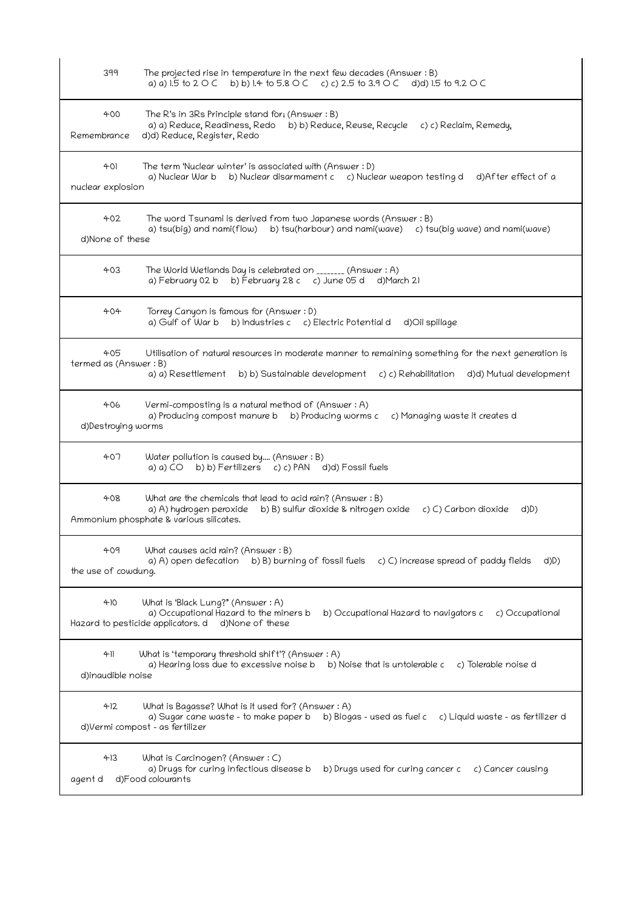| 399                          | The projected rise in temperature in the next few decades (Answer $:B$ )<br>a) a) 1.5 to 2 O C b) b) 1.4 to 5.8 O C c) c) 2.5 to 3.9 O C d)d) 1.5 to 9.2 O C                                                 |
|------------------------------|--------------------------------------------------------------------------------------------------------------------------------------------------------------------------------------------------------------|
| 400<br>Remembrance           | The R's in 3Rs Principle stand for; (Answer: B)<br>a) a) Reduce, Readiness, Redo b) b) Reduce, Reuse, Recycle c) c) Reclaim, Remedy,<br>d)d) Reduce, Register, Redo                                          |
| $+0$<br>nuclear explosion    | The term 'Nuclear winter' is associated with (Answer : D)<br>a) Nuclear War b b) Nuclear disarmament c c) Nuclear weapon testing d<br>d)After effect of a                                                    |
| 402<br>d)None of these       | The word Tsunami is derived from two Japanese words (Answer: B)<br>a) tsu(big) and nami(flow) b) tsu(harbour) and nami(wave) c) tsu(big wave) and nami(wave)                                                 |
| 403                          | The World Wetlands Day is celebrated on _______ (Answer: A)<br>a) February 02 b b) February 28 c c) June 05 d d) March 21                                                                                    |
| 404                          | Torrey Canyon is famous for (Answer: D)<br>a) Gulf of War b<br>b) Industries c c) Electric Potential d<br>d)Oil spillage                                                                                     |
| 405<br>termed as (Answer: B) | Utilisation of natural resources in moderate manner to remaining something for the next generation is<br>a) a) Resettlement<br>b) b) Sustainable development c) c) Rehabilitation<br>d)d) Mutual development |
| 406<br>d)Destroying worms    | Vermi-composting is a natural method of (Answer: A)<br>a) Producing compost manure b b) Producing worms c<br>c) Managing waste it creates d                                                                  |
| 407                          | Water pollution is caused by (Answer: B)<br>b) b) Fertilizers c) c) PAN d)d) Fossil fuels<br>a) a) CO                                                                                                        |
| 408                          | What are the chemicals that lead to acid rain? (Answer: B)<br>b) B) sulfur dioxide & nitrogen oxide<br>a) A) hydrogen peroxide<br>c) C) Carbon dioxide<br>d)D)<br>Ammonium phosphate & various silicates.    |
| 409<br>the use of cowdung.   | What causes acid rain? (Answer : B)<br>b) B) burning of fossil fuels c) C) increase spread of paddy fields<br>a) A) open defecation<br>d(D)                                                                  |
| 410                          | What is 'Black Lung?" (Answer : A)<br>a) Occupational Hazard to the miners b<br>b) Occupational Hazard to navigators c<br>c) Occupational<br>Hazard to pesticide applicators. d d)None of these              |
| 411<br>d)inaudible noise     | What is 'temporary threshold shift'? (Answer: A)<br>a) Hearing loss due to excessive noise b<br>b) Noise that is untolerable c<br>c) Tolerable noise d                                                       |
| 412                          | What is Bagasse? What is it used for? (Answer : A)<br>a) Sugar cane waste - to make paper b<br>b) Biogas - used as fuel c<br>c) Liquid waste - as fertilizer d<br>d)Vermi compost - as fertilizer            |
| 413<br>agent d               | What is Carcinogen? (Answer : C)<br>a) Drugs for curing infectious disease b<br>b) Drugs used for curing cancer c<br>c) Cancer causing<br>d)Food colourants                                                  |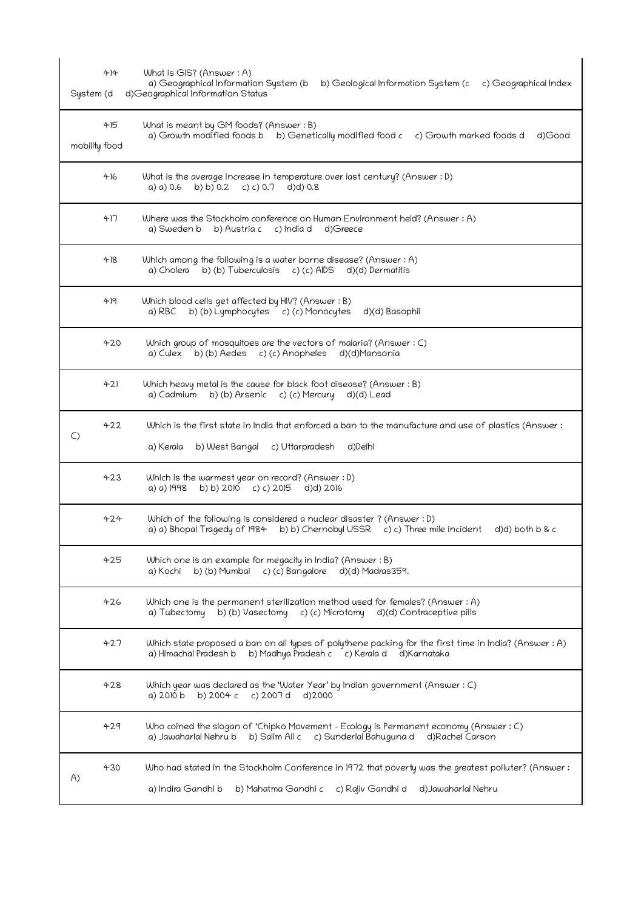| $4 + 14$<br>System (d | What is GIS? (Answer: A)<br>a) Geographical Information System (b<br>b) Geological Information System (c<br>c) Geographical Index<br>d)Geographical Information Status                       |
|-----------------------|----------------------------------------------------------------------------------------------------------------------------------------------------------------------------------------------|
| 415<br>mobility food  | What is meant by GM foods? (Answer : B)<br>a) Growth modified foods b b) Genetically modified food c c) Growth marked foods d<br>d)Good                                                      |
| 416                   | What is the average increase in temperature over last century? (Answer : D)<br>b) b) 0.2 c) c) 0.7<br>d)d) 0.8<br>a) a) 0.6                                                                  |
| 417                   | Where was the Stockholm conference on Human Environment held? (Answer: A)<br>a) Sweden b b) Austria c c) India d<br>d)Greece                                                                 |
| 418                   | Which among the following is a water borne disease? (Answer : A)<br>b) (b) Tuberculosis<br>c) (c) AIDS<br>d)(d) Dermatitis<br>a) Cholera                                                     |
| 49                    | Which blood cells get affected by HIV? (Answer: B)<br>b) (b) Lymphocytes c) (c) Monocytes<br>d)(d) Basophil<br>a) RBC                                                                        |
| 420                   | Which group of mosquitoes are the vectors of malaria? (Answer: C)<br>a) Culex b) (b) Aedes c) (c) Anopheles<br>d)(d)Mansonia                                                                 |
| 421                   | Which heavy metal is the cause for black foot disease? (Answer : B)<br>b) (b) Arsenic<br>c) (c) Mercury<br>a) Cadmium<br>d)(d) Lead                                                          |
| 422<br>$\mathsf{C}$   | Which is the first state in India that enforced a ban to the manufacture and use of plastics (Answer:<br>c) Uttarpradesh<br>d)Delhi<br>a) Kerala<br>b) West Bangal                           |
| 423                   | Which is the warmest year on record? (Answer : D)<br>b) b) 2010 c) c) 2015<br>a) a) 1998<br>d)d) 2016                                                                                        |
| 424                   | Which of the following is considered a nuclear disaster? (Answer : D)<br>a) a) Bhopal Tragedy of 1984<br>b) b) Chernobyl USSR<br>c) c) Three mile incident<br>$d$ ) $d$ ) both $b$ & $c$     |
| 425                   | Which one is an example for megacity in India? (Answer: B)<br>c) (c) Bangalore<br>b) (b) Mumbai<br>d)(d) Madras359.<br>a) Kochi                                                              |
| 426                   | Which one is the permanent sterilization method used for females? (Answer : A)<br>b) (b) Vasectomy<br>c) (c) Microtomy<br>d)(d) Contraceptive pills<br>a) Tubectomy                          |
| 427                   | Which state proposed a ban on all types of polythene packing for the first time in India? (Answer : A)<br>a) Himachal Pradesh b<br>b) Madhya Pradesh c c) Kerala d<br>d)Karnataka            |
| 428                   | Which year was declared as the 'Water Year' by Indian government (Answer : C)<br>a) 2010 b<br>b) 2004 c<br>c) 2007 d<br>d)2000                                                               |
| 429                   | Who coined the slogan of 'Chipko Movement – Ecology is Permanent economy (Answer : C)<br>b) Salim Ali c<br>a) Jawaharlal Nehru b<br>c) Sunderlal Bahuguna d<br>d)Rachel Carson               |
| 430<br>A)             | Who had stated in the Stockholm Conference in 1972 that poverty was the greatest polluter? (Answer:<br>a) Indira Gandhi b<br>b) Mahatma Gandhi c<br>c) Rajiv Gandhi d<br>d) Jawaharlal Nehru |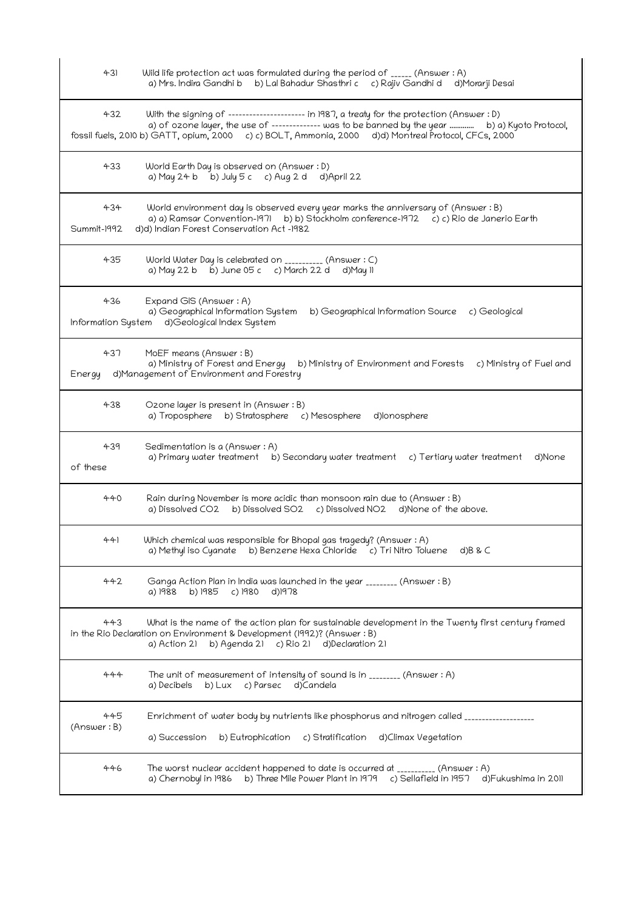| 431                | Wild life protection act was formulated during the period of $_{\_}$ (Answer : A)<br>a) Mrs. Indira Gandhi b b) Lal Bahadur Shasthri c c) Rajiv Gandhi d d)Morarji Desai                                                                                                                                |
|--------------------|---------------------------------------------------------------------------------------------------------------------------------------------------------------------------------------------------------------------------------------------------------------------------------------------------------|
| 432                | With the signing of --------------------- in 1987, a treaty for the protection (Answer : D)<br>a) of ozone layer, the use of -------------- was to be banned by the year  b) a) Kyoto Protocol,<br>fossil fuels, 2010 b) GATT, opium, 2000 c) c) BOLT, Ammonia, 2000 d)d) Montreal Protocol, CFCs, 2000 |
| 433                | World Earth Day is observed on (Answer: D)<br>a) May 24 b b) July 5 c c) Aug 2 d d) April 22                                                                                                                                                                                                            |
| 434<br>Summit-1992 | World environment day is observed every year marks the anniversary of (Answer: B)<br>a) a) Ramsar Convention-1971 b) b) Stockholm conference-1972 c) c) Rio de Janerio Earth<br>d)d) Indian Forest Conservation Act -1982                                                                               |
| 435                | World Water Day is celebrated on __________ (Answer : C)<br>a) May 22 b b) June 05 c c) March 22 d d) May 11                                                                                                                                                                                            |
| 436                | Expand GIS (Answer: A)<br>a) Geographical Information System<br>b) Geographical Information Source c) Geological<br>Information System d)Geological Index System                                                                                                                                        |
| 437                | MoEF means (Answer: B)<br>a) Ministry of Forest and Energy b) Ministry of Environment and Forests c) Ministry of Fuel and<br>Energy d)Management of Environment and Forestry                                                                                                                            |
| 438                | Ozone layer is present in (Answer: B)<br>a) Troposphere b) Stratosphere c) Mesosphere d) lonosphere                                                                                                                                                                                                     |
| 439<br>of these    | Sedimentation is a (Answer : A)<br>a) Primary water treatment b) Secondary water treatment c) Tertiary water treatment<br>d)None                                                                                                                                                                        |
| 440                | Rain during November is more acidic than monsoon rain due to (Answer : B)<br>a) Dissolved CO2 b) Dissolved SO2 c) Dissolved NO2 d) None of the above.                                                                                                                                                   |
| 441                | Which chemical was responsible for Bhopal gas tragedy? (Answer: A)<br>a) Methyl iso Cyanate b) Benzene Hexa Chloride c) Tri Nitro Toluene<br>$d$ ) $B$ & $C$                                                                                                                                            |
| 442                | Ganga Action Plan in India was launched in the year ________ (Answer : B)<br>b) 1985<br>c) 1980<br>d)1978<br>a) 1988                                                                                                                                                                                    |
| 443                | What is the name of the action plan for sustainable development in the Twenty first century framed<br>in the Rio Declaration on Environment & Development (1992)? (Answer : B)<br>b) Agenda 21 c) Rio 21<br>d)Declaration 21<br>a) Action 21                                                            |
| 444                | The unit of measurement of intensity of sound is in ________ (Answer : A)<br>a) Decibels<br>$b)$ Lux<br>c) Parsec<br>d)Candela                                                                                                                                                                          |
| 445<br>(Answer: B) | Enrichment of water body by nutrients like phosphorus and nitrogen called _________________<br>b) Eutrophication c) Stratification<br>d)Climax Vegetation<br>a) Succession                                                                                                                              |
| 446                | The worst nuclear accident happened to date is occurred at __________ (Answer: A)<br>b) Three Mile Power Plant in 1979 c) Sellafield in 1957 d) Fukushima in 2011<br>a) Chernobyl in 1986                                                                                                               |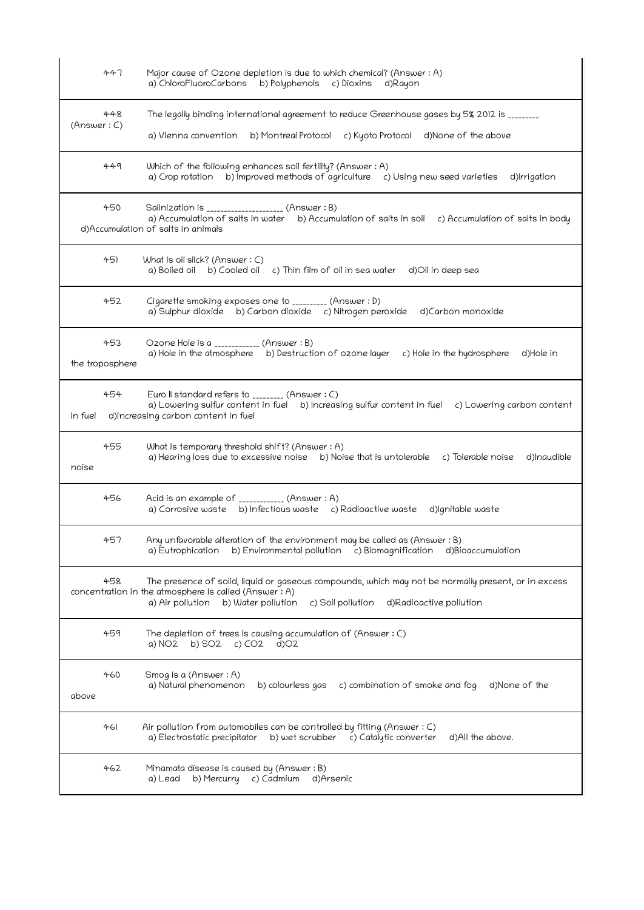|             | 447                    | Major cause of Ozone depletion is due to which chemical? (Answer: A)<br>a) ChloroFluoroCarbons<br>b) Polyphenols<br>c) Dioxins<br>d)Rayon                                                                                                              |
|-------------|------------------------|--------------------------------------------------------------------------------------------------------------------------------------------------------------------------------------------------------------------------------------------------------|
| (Answer: C) | 448                    | The legally binding international agreement to reduce Greenhouse gases by 5% 2012 is ________<br>b) Montreal Protocol c) Kyoto Protocol d) None of the above<br>a) Vienna convention                                                                   |
|             | 449                    | Which of the following enhances soil fertility? (Answer: A)<br>a) Crop rotation b) Improved methods of agriculture c) Using new seed varieties<br>d)Irrigation                                                                                         |
|             | 450                    | Salinization is _______________________ (Answer : B)<br>a) Accumulation of salts in water<br>b) Accumulation of salts in soil<br>c) Accumulation of salts in body<br>d)Accumulation of salts in animals                                                |
|             | 451                    | What is oil slick? (Answer $: C$ )<br>a) Boiled oil b) Cooled oil<br>c) Thin film of oil in sea water<br>d)Oil in deep sea                                                                                                                             |
|             | 452                    | Cigarette smoking exposes one to _________ (Answer : D)<br>a) Sulphur dioxide b) Carbon dioxide c) Nitrogen peroxide<br>d)Carbon monoxide                                                                                                              |
|             | 453<br>the troposphere | Ozone Hole is a ____________ (Answer: B)<br>a) Hole in the atmosphere b) Destruction of ozone layer<br>c) Hole in the hydrosphere<br>d)Hole in                                                                                                         |
| in fuel     | 454                    | Euro II standard refers to ________ (Answer: C)<br>a) Lowering sulfur content in fuel b) Increasing sulfur content in fuel c) Lowering carbon content<br>d)increasing carbon content in fuel                                                           |
| noise       | 455                    | What is temporary threshold shift? (Answer: A)<br>a) Hearing loss due to excessive noise b) Noise that is untolerable c) Tolerable noise<br>d)Inaudible                                                                                                |
|             | 456                    | Acid is an example of ____________ (Answer: A)<br>a) Corrosive waste b) Infectious waste c) Radioactive waste d)Ignitable waste                                                                                                                        |
|             | 457                    | Any unfavorable alteration of the environment may be called as (Answer: B)<br>a) Eutrophication b) Environmental pollution c) Biomagnification<br>d)Bioaccumulation                                                                                    |
|             | 458                    | The presence of solid, liquid or gaseous compounds, which may not be normally present, or in excess<br>concentration in the atmosphere is called (Answer: A)<br>a) Air pollution<br>d)Radioactive pollution<br>b) Water pollution<br>c) Soil pollution |
|             | 459                    | The depletion of trees is causing accumulation of (Answer: C)<br>c) $CO2$<br>a) NO2<br>b) SO2<br>$d$ ) $O2$                                                                                                                                            |
| above       | 460                    | Smog is a (Answer : A)<br>a) Natural phenomenon<br>b) colourless gas<br>c) combination of smoke and fog<br>d)None of the                                                                                                                               |
|             | 461                    | Air pollution from automobiles can be controlled by fitting (Answer $:C$ )<br>a) Electrostatic precipitator<br>b) wet scrubber c) Catalytic converter<br>d)All the above.                                                                              |
|             | 462                    | Minamata disease is caused by (Answer: B)<br>c) Cadmium<br>a) Lead<br>b) Mercurry<br>d)Arsenic                                                                                                                                                         |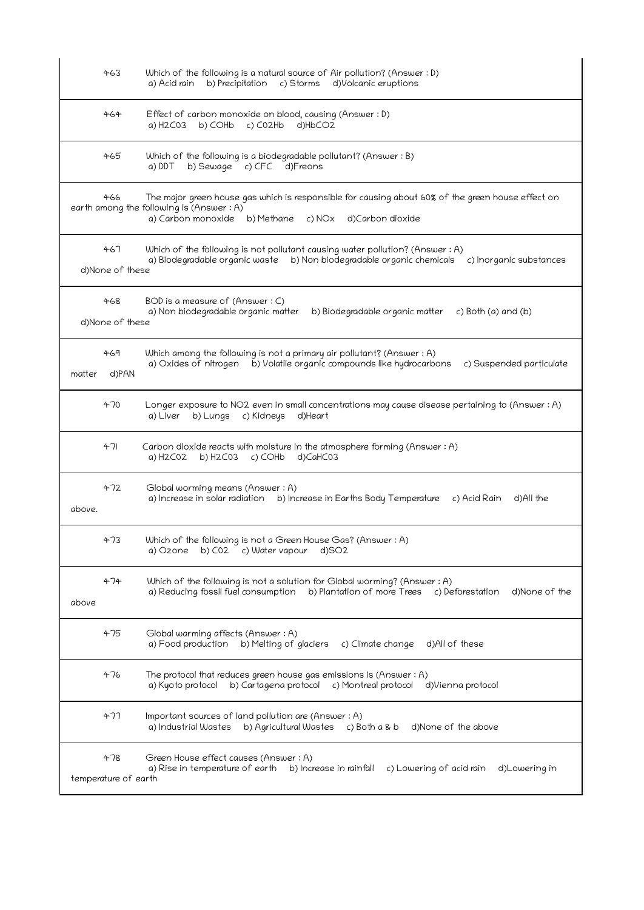| 463                         | Which of the following is a natural source of Air pollution? (Answer : D)<br>c) Storms<br>b) Precipitation<br>d)Volcanic eruptions<br>a) Acid rain                                                               |
|-----------------------------|------------------------------------------------------------------------------------------------------------------------------------------------------------------------------------------------------------------|
| 464                         | Effect of carbon monoxide on blood, causing (Answer: D)<br>a) H2C03 b) COHb<br>c) C02Hb<br>d)HbCO2                                                                                                               |
| 465                         | Which of the following is a biodegradable pollutant? (Answer : B)<br>a) DDT<br>b) Sewage c) CFC d) Freons                                                                                                        |
| 466                         | The major green house gas which is responsible for causing about 60% of the green house effect on<br>earth among the following is (Answer : A)<br>a) Carbon monoxide<br>d)Carbon dioxide<br>b) Methane<br>c) NOx |
| 467<br>d)None of these      | Which of the following is not pollutant causing water pollution? (Answer : A)<br>a) Biodegradable organic waste b) Non biodegradable organic chemicals<br>c) Inorganic substances                                |
| 468<br>d)None of these      | BOD is a measure of (Answer: C)<br>a) Non biodegradable organic matter<br>b) Biodegradable organic matter<br>c) Both (a) and (b)                                                                                 |
| 469<br>d)PAN<br>matter      | Which among the following is not a primary air pollutant? (Answer : A)<br>b) Volatile organic compounds like hydrocarbons<br>a) Oxides of nitrogen<br>c) Suspended particulate                                   |
| 470                         | Longer exposure to NO2 even in small concentrations may cause disease pertaining to (Answer: A)<br>b) Lungs c) Kidneys<br>a) Liver<br>d)Heart                                                                    |
| 471                         | Carbon dioxide reacts with moisture in the atmosphere forming (Answer : A)<br>a) H2C02<br>b) $H2CO3$ c) COHb<br>d)CaHC03                                                                                         |
| 472<br>above.               | Global worming means (Answer: A)<br>a) Increase in solar radiation b) Increase in Earths Body Temperature<br>c) Acid Rain<br>d)All the                                                                           |
| 473                         | Which of the following is not a Green House Gas? (Answer : A)<br>b) C02 c) Water vapour<br>d)SO2<br>a) Ozone                                                                                                     |
| 474<br>above                | Which of the following is not a solution for Global worming? (Answer : A)<br>a) Reducing fossil fuel consumption<br>b) Plantation of more Trees c) Deforestation<br>d)None of the                                |
| 475                         | Global warming affects (Answer : A)<br>a) Food production<br>b) Melting of glaciers<br>c) Climate change<br>d)All of these                                                                                       |
| 476                         | The protocol that reduces green house gas emissions is (Answer : A)<br>a) Kyoto protocol<br>b) Cartagena protocol c) Montreal protocol<br>d)Vienna protocol                                                      |
| 477                         | Important sources of land pollution are (Answer: A)<br>a) Industrial Wastes<br>b) Agricultural Wastes c) Both a & b<br>d)None of the above                                                                       |
| 478<br>temperature of earth | Green House effect causes (Answer: A)<br>a) Rise in temperature of earth<br>b) Increase in rainfall<br>c) Lowering of acid rain<br>d)Lowering in                                                                 |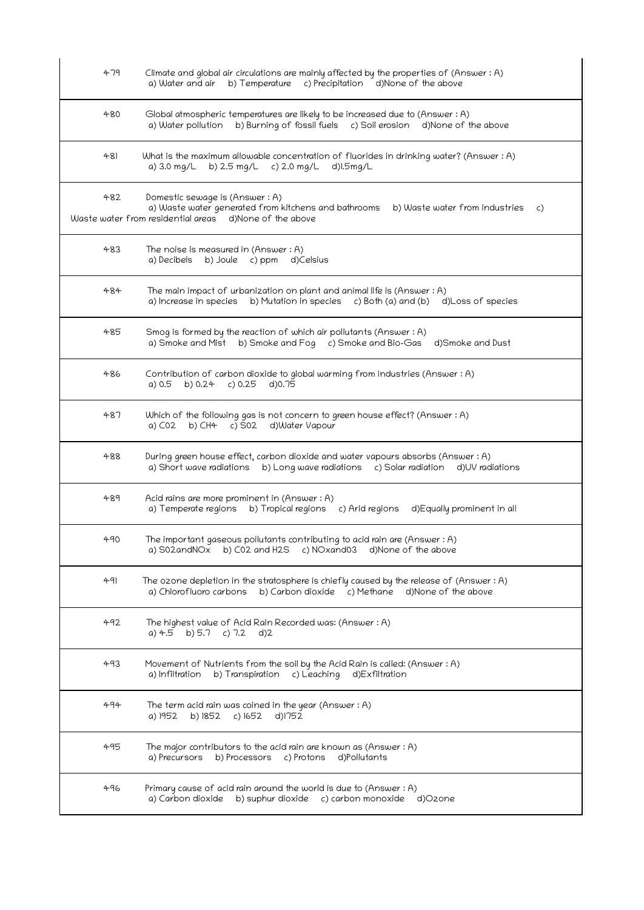| 479   | Climate and global air circulations are mainly affected by the properties of (Answer: A)<br>a) Water and air<br>b) Temperature c) Precipitation d)None of the above                      |
|-------|------------------------------------------------------------------------------------------------------------------------------------------------------------------------------------------|
| 480   | Global atmospheric temperatures are likely to be increased due to (Answer: A)<br>b) Burning of fossil fuels c) Soil erosion d) None of the above<br>a) Water pollution                   |
| $+81$ | What is the maximum allowable concentration of fluorides in drinking water? (Answer : A)<br>a) 3.0 mg/L b) 2.5 mg/L c) 2.0 mg/L d)l.5mg/L                                                |
| 482   | Domestic sewage is (Answer: A)<br>a) Waste water generated from kitchens and bathrooms<br>b) Waste water from industries<br>C)<br>Waste water from residential areas d)None of the above |
| 483   | The noise is measured in (Answer $:A$ )<br>a) Decibels b) Joule c) ppm d) Celsius                                                                                                        |
| 484   | The main impact of urbanization on plant and animal life is (Answer : A)<br>a) Increase in species b) Mutation in species c) Both (a) and (b) d) Loss of species                         |
| 485   | Smog is formed by the reaction of which air pollutants (Answer : A)<br>b) Smoke and Fog c) Smoke and Bio-Gas<br>a) Smoke and Mist<br>d)Smoke and Dust                                    |
| 486   | Contribution of carbon dioxide to global warming from industries (Answer : A)<br>a) 0.5<br>b) 0.24 c) 0.25<br>d)0.75                                                                     |
| 487   | Which of the following gas is not concern to green house effect? (Answer : A)<br>b) CH4 c) S02 d)Water Vapour<br>a) C02                                                                  |
| 488   | During green house effect, carbon dioxide and water vapours absorbs (Answer: A)<br>a) Short wave radiations b) Long wave radiations c) Solar radiation d)UV radiations                   |
| 489   | Acid rains are more prominent in (Answer: A)<br>a) Temperate regions b) Tropical regions c) Arid regions<br>d)Equally prominent in all                                                   |
| 490   | The important gaseous pollutants contributing to acid rain are (Answer : A)<br>a) S02andNOx b) C02 and H2S c) NOxand03 d)None of the above                                               |
| 491   | The ozone depletion in the stratosphere is chiefly caused by the release of (Answer: A)<br>b) Carbon dioxide c) Methane d) None of the above<br>a) Chlorofluoro carbons                  |
| 492   | The highest value of Acid Rain Recorded was: (Answer : A)<br>a) $4.5$ b) $5.7$ c) $7.2$ d) $2$                                                                                           |
| 493   | Movement of Nutrients from the soil by the Acid Rain is called: (Answer : A)<br>a) Infiltration<br>b) Transpiration c) Leaching d) Exfiltration                                          |
| 494   | The term acid rain was coined in the year (Answer $:A$ )<br>a) 1952 b) 1852 c) 1652 d) 1752                                                                                              |
| 495   | The major contributors to the acid rain are known as (Answer $: A$ )<br>a) Precursors b) Processors c) Protons<br>d)Pollutants                                                           |
| 496   | Primary cause of acid rain around the world is due to (Answer: A)<br>a) Carbon dioxide b) suphur dioxide c) carbon monoxide d)Ozone                                                      |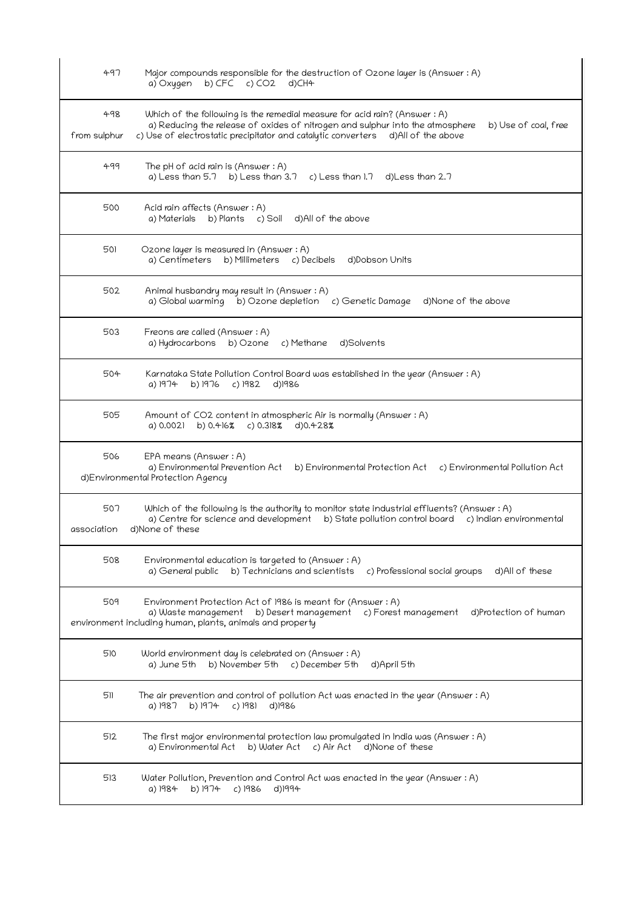| 497                 | Major compounds responsible for the destruction of Ozone layer is (Answer : A)<br>b) $CFC$ c) $CO2$<br>a) Oxygen<br>d)CH4                                                                                                                                               |
|---------------------|-------------------------------------------------------------------------------------------------------------------------------------------------------------------------------------------------------------------------------------------------------------------------|
| 498<br>from sulphur | Which of the following is the remedial measure for acid rain? (Answer : A)<br>a) Reducing the release of oxides of nitrogen and sulphur into the atmosphere<br>b) Use of coal, free<br>c) Use of electrostatic precipitator and catalytic converters d)All of the above |
| 499                 | The pH of acid rain is (Answer $:A$ )<br>a) Less than $5.7$ b) Less than $3.7$<br>c) Less than $1.7$ d) Less than 2.7                                                                                                                                                   |
| 500                 | Acid rain affects (Answer : A)<br>b) Plants    c) Soil<br>d)All of the above<br>a) Materials                                                                                                                                                                            |
| 501                 | Ozone layer is measured in (Answer: A)<br>a) Centimeters b) Millimeters c) Decibels<br>d)Dobson Units                                                                                                                                                                   |
| 502                 | Animal husbandry may result in (Answer : A)<br>a) Global warming b) Ozone depletion c) Genetic Damage<br>d)None of the above                                                                                                                                            |
| 503                 | Freons are called (Answer: A)<br>c) Methane<br>d)Solvents<br>a) Hydrocarbons<br>b) Ozone                                                                                                                                                                                |
| 504                 | Karnataka State Pollution Control Board was established in the year (Answer : A)<br>a) 1974<br>b) 1976<br>c) 1982<br>d)1986                                                                                                                                             |
| 505                 | Amount of CO2 content in atmospheric Air is normally (Answer : A)<br>$c)$ 0.318%<br>a) 0.0021<br>b) 0.416%<br>d)0.428%                                                                                                                                                  |
| 506                 | EPA means (Answer: A)<br>a) Environmental Prevention Act<br>b) Environmental Protection Act<br>c) Environmental Pollution Act<br>d)Environmental Protection Agency                                                                                                      |
| 507<br>association  | Which of the following is the authority to monitor state industrial effluents? (Answer : A)<br>a) Centre for science and development<br>b) State pollution control board<br>c) Indian environmental<br>d)None of these                                                  |
| 508                 | Environmental education is targeted to (Answer: A)<br>a) General public<br>b) Technicians and scientists<br>c) Professional social groups<br>d)All of these                                                                                                             |
| 509                 | Environment Protection Act of 1986 is meant for (Answer: A)<br>a) Waste management b) Desert management<br>c) Forest management<br>d)Protection of human<br>environment including human, plants, animals and property                                                   |
| 510                 | World environment day is celebrated on (Answer: A)<br>b) November 5th<br>c) December 5th<br>a) June 5th<br>d)April 5th                                                                                                                                                  |
| 511                 | The air prevention and control of pollution Act was enacted in the year (Answer : A)<br>a) 1987<br>b) 1974<br>$c)$ 1981<br>d)1986                                                                                                                                       |
| 512                 | The first major environmental protection law promulgated in India was (Answer : A)<br>a) Environmental Act<br>b) Water Act c) Air Act d) None of these                                                                                                                  |
| 513                 | Water Pollution, Prevention and Control Act was enacted in the year (Answer: A)<br>b) 1974<br>a) 1984<br>c) 1986<br>d)1994                                                                                                                                              |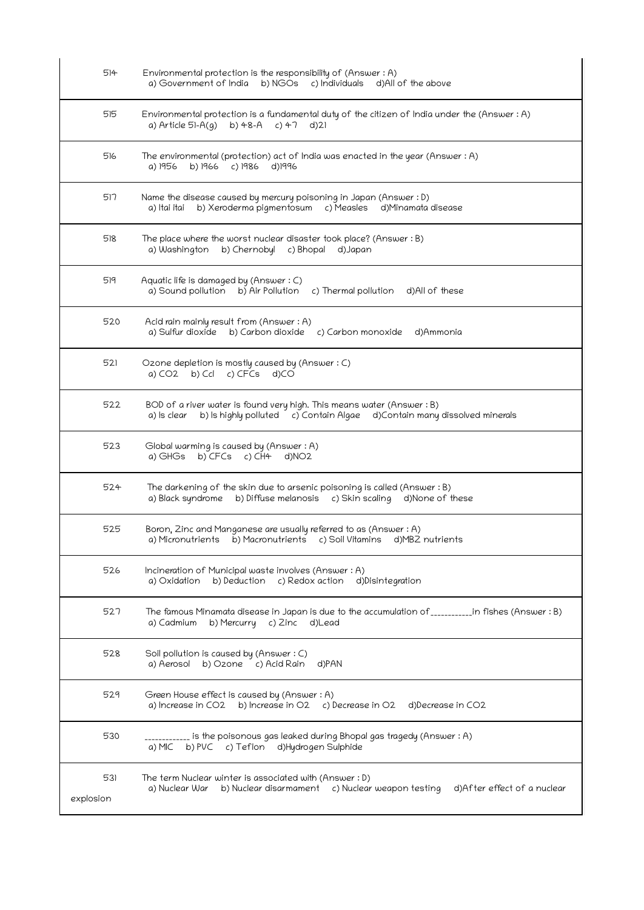| 514              | Environmental protection is the responsibility of (Answer: A)<br>b) NGOs c) Individuals d) All of the above<br>a) Government of India                           |
|------------------|-----------------------------------------------------------------------------------------------------------------------------------------------------------------|
| 515              | Environmental protection is a fundamental duty of the citizen of India under the (Answer : A)<br>a) Article 51-A(g) b) 48-A c) 47 d)21                          |
| 516              | The environmental (protection) act of India was enacted in the year (Answer : A)<br>b) 1966 c) 1986<br>d)1996<br>a) 1956                                        |
| 517              | Name the disease caused by mercury poisoning in Japan (Answer : D)<br>b) Xeroderma pigmentosum c) Measles d) Minamata disease<br>a) Itai itai                   |
| 518              | The place where the worst nuclear disaster took place? (Answer : B)<br>b) Chernobyl c) Bhopal<br>a) Washington<br>d)Japan                                       |
| 519              | Aquatic life is damaged by (Answer: C)<br>a) Sound pollution b) Air Pollution<br>c) Thermal pollution d)All of these                                            |
| 520              | Acid rain mainly result from (Answer: A)<br>a) Sulfur dioxide b) Carbon dioxide c) Carbon monoxide d) Ammonia                                                   |
| 521              | Ozone depletion is mostly caused by (Answer: C)<br>a) $CO2$ b) $Col$ c) $CFCs$ d) $CO$                                                                          |
| 522              | BOD of a river water is found very high. This means water (Answer : B)<br>a) Is clear b) Is highly polluted c) Contain Algae d) Contain many dissolved minerals |
| 523              | Global warming is caused by (Answer: A)<br>a) GHGs b) CFCs c) CH4<br>d)NO2                                                                                      |
| 524              | The darkening of the skin due to arsenic poisoning is called (Answer $:B$ )<br>a) Black syndrome b) Diffuse melanosis c) Skin scaling d) None of these          |
| 525              | Boron, Zinc and Manganese are usually referred to as (Answer: A)<br>a) Micronutrients b) Macronutrients c) Soil Vitamins d) MB2 nutrients                       |
| 526              | Incineration of Municipal waste involves (Answer: A)<br>a) Oxidation<br>b) Deduction c) Redox action<br>d)Disintegration                                        |
| 527              | The famous Minamata disease in Japan is due to the accumulation of ____________in fishes (Answer: B)<br>b) Mercurry c) Zinc d) Lead<br>a) Cadmium               |
| 528              | Soil pollution is caused by (Answer: C)<br>a) Aerosol b) Ozone c) Acid Rain<br>d)PAN                                                                            |
| 529              | Green House effect is caused by (Answer: A)<br>a) Increase in CO2 b) Increase in O2 c) Decrease in O2<br>d)Decrease in CO2                                      |
| 530              | is the poisonous gas leaked during Bhopal gas tragedy (Answer : A)<br>a) MIC b) PVC c) Teflon d) Hydrogen Sulphide                                              |
| 531<br>explosion | The term Nuclear winter is associated with (Answer : D)<br>a) Nuclear War b) Nuclear disarmament c) Nuclear weapon testing<br>d)After effect of a nuclear       |